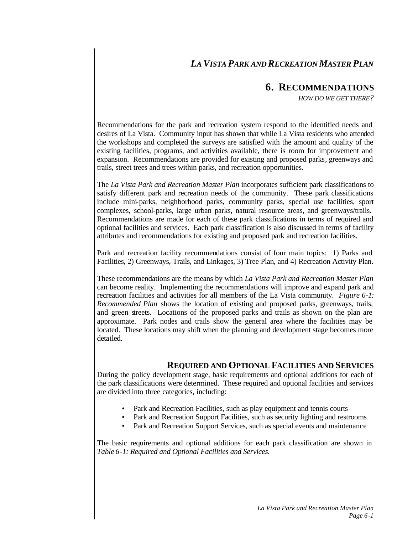# *LA VISTA PARK AND RECREATION MASTER PLAN*

## **6. RECOMMENDATIONS**

*HOW DO WE GET THERE?*

Recommendations for the park and recreation system respond to the identified needs and desires of La Vista. Community input has shown that while La Vista residents who attended the workshops and completed the surveys are satisfied with the amount and quality of the existing facilities, programs, and activities available, there is room for improvement and expansion. Recommendations are provided for existing and proposed parks, greenways and trails, street trees and trees within parks, and recreation opportunities.

The *La Vista Park and Recreation Master Plan* incorporates sufficient park classifications to satisfy different park and recreation needs of the community. These park classifications include mini-parks, neighborhood parks, community parks, special use facilities, sport complexes, school-parks, large urban parks, natural resource areas, and greenways/trails. Recommendations are made for each of these park classifications in terms of required and optional facilities and services. Each park classification is also discussed in terms of facility attributes and recommendations for existing and proposed park and recreation facilities.

Park and recreation facility recommendations consist of four main topics: 1) Parks and Facilities, 2) Greenways, Trails, and Linkages, 3) Tree Plan, and 4) Recreation Activity Plan.

These recommendations are the means by which *La Vista Park and Recreation Master Plan*  can become reality. Implementing the recommendations will improve and expand park and recreation facilities and activities for all members of the La Vista community. *Figure 6-1: Recommended Plan* shows the location of existing and proposed parks, greenways, trails, and green streets. Locations of the proposed parks and trails as shown on the plan are approximate. Park nodes and trails show the general area where the facilities may be located. These locations may shift when the planning and development stage becomes more detailed.

## **REQUIRED AND OPTIONAL FACILITIES AND SERVICES**

During the policy development stage, basic requirements and optional additions for each of the park classifications were determined. These required and optional facilities and services are divided into three categories, including:

- Park and Recreation Facilities, such as play equipment and tennis courts
- Park and Recreation Support Facilities, such as security lighting and restrooms
- Park and Recreation Support Services, such as special events and maintenance

The basic requirements and optional additions for each park classification are shown in *Table 6-1: Required and Optional Facilities and Services.*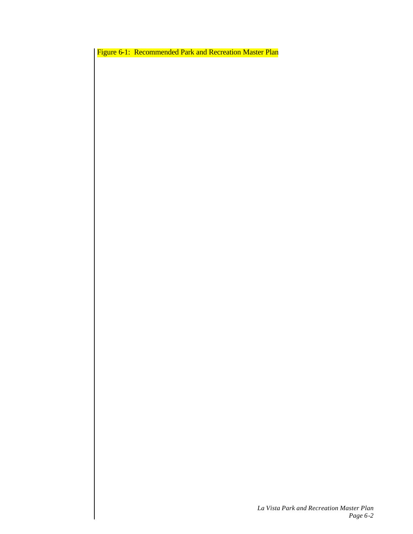Figure 6-1: Recommended Park and Recreation Master Plan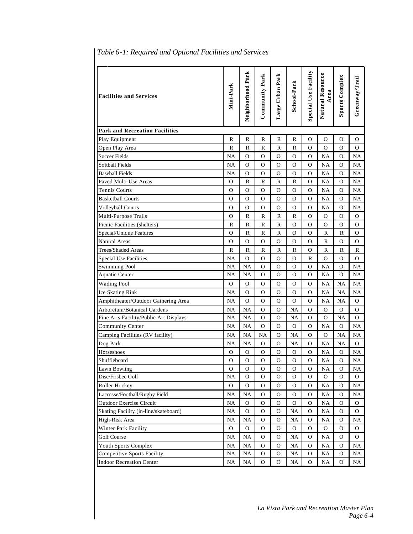| <b>Facilities and Services</b>         | Mini-Park     | Neighborhood Park | Community Park | Large Urban Park | School-Park   | <b>Special Use Facility</b> | Natural Resource<br>Area | <b>Sports Complex</b> | Greenway/Trail |
|----------------------------------------|---------------|-------------------|----------------|------------------|---------------|-----------------------------|--------------------------|-----------------------|----------------|
| <b>Park and Recreation Facilities</b>  |               |                   |                |                  |               |                             |                          |                       |                |
| Play Equipment                         | R             | R                 | R              | R                | R             | О                           | О                        | О                     | 0              |
| Open Play Area                         | R             | R                 | R              | R                | R             | O                           | O                        | O                     | O              |
| <b>Soccer Fields</b>                   | NA            | $\mathcal{O}$     | О              | $\mathcal{O}$    | O             | $\mathbf{O}$                | <b>NA</b>                | $\mathbf{O}$          | <b>NA</b>      |
| Softball Fields                        | NA            | O                 | O              | $\mathcal{O}$    | O             | $\Omega$                    | <b>NA</b>                | $\mathbf{O}$          | NA             |
| <b>Baseball Fields</b>                 | NA            | $\mathbf{O}$      | O              | $\mathbf{O}$     | O             | $\Omega$                    | <b>NA</b>                | $\Omega$              | NA             |
| Paved Multi-Use Areas                  | $\Omega$      | R                 | R              | R                | R             | $\Omega$                    | <b>NA</b>                | $\Omega$              | NA             |
| Tennis Courts                          | O             | O                 | О              | $\mathbf{O}$     | O             | O                           | <b>NA</b>                | $\Omega$              | NA             |
| <b>Basketball Courts</b>               | $\Omega$      | $\Omega$          | О              | $\mathbf{O}$     | O             | O                           | <b>NA</b>                | $\Omega$              | NA             |
| <b>Volleyball Courts</b>               | O             | O                 | О              | $\mathbf{O}$     | О             | 0                           | <b>NA</b>                | 0                     | NA             |
| Multi-Purpose Trails                   | $\Omega$      | R                 | R              | R                | R             | O                           | $\Omega$                 | O                     | O              |
| Picnic Facilities (shelters)           | R             | R                 | R              | R                | О             | O                           | О                        | О                     | O              |
| Special/Unique Features                | O             | R                 | R              | R                | O             | O                           | R                        | R                     | O              |
| <b>Natural Areas</b>                   | $\Omega$      | $\mathcal{O}$     | О              | $\mathcal{O}$    | O             | $\Omega$                    | R                        | 0                     | O              |
| Trees/Shaded Areas                     | R             | R                 | R              | R                | R             | $\Omega$                    | R                        | R                     | R              |
| Special Use Facilities                 | NA            | $\Omega$          | O              | $\mathbf{O}$     | $\mathcal{O}$ | R                           | O                        | $\Omega$              | $\mathcal{O}$  |
| <b>Swimming Pool</b>                   | NA            | NA                | O              | 0                | 0             | O                           | <b>NA</b>                | 0                     | NA             |
| Aquatic Center                         | NA            | NA                | O              | $\Omega$         | O             | $\Omega$                    | <b>NA</b>                | $\Omega$              | NA             |
| <b>Wading Pool</b>                     | $\mathcal{O}$ | $\mathcal{O}$     | О              | $\mathcal{O}$    | O             | O                           | <b>NA</b>                | NA                    | NA             |
| Ice Skating Rink                       | NA            | O                 | О              | $\mathcal{O}$    | O             | O                           | <b>NA</b>                | NA                    | NA             |
| Amphitheater/Outdoor Gathering Area    | NA            | $\Omega$          | О              | $\mathbf{O}$     | O             | O                           | <b>NA</b>                | NA                    | O              |
| Arboretum/Botanical Gardens            | NA            | NA                | О              | $\mathcal{O}$    | NA            | O                           | O                        | O                     | O              |
| Fine Arts Facility/Public Art Displays | NA            | NA                | О              | $\mathcal{O}$    | <b>NA</b>     | O                           | $\Omega$                 | <b>NA</b>             | O              |
| Community Center                       | <b>NA</b>     | NA                | О              | $\mathcal{O}$    | $\mathbf O$   | $\mathbf{O}$                | <b>NA</b>                | $\mathcal{O}$         | <b>NA</b>      |
| Camping Facilities (RV facility)       | NA            | NA                | <b>NA</b>      | $\mathcal{O}$    | <b>NA</b>     | $\mathcal{O}$               | $\mathcal{O}$            | <b>NA</b>             | NA             |
| Dog Park                               | NA            | NA                | O              | $\mathbf{O}$     | <b>NA</b>     | $\Omega$                    | <b>NA</b>                | <b>NA</b>             | $\mathcal{O}$  |
| Horseshoes                             | O             | О                 | о              | O                | О             | O                           | <b>NA</b>                | $\mathbf{O}$          | NA             |
| Shuffleboard                           | О             | O                 | О              | O                | O             | O                           | NA                       | 0                     | NA             |
| Lawn Bowling                           | $\mathbf 0$   | $\mathbf O$       | $\mathbf O$    | $\mathcal{O}$    | $\rm{O}$      | $\overline{O}$              | NA                       | $\mathcal{O}$         | NA             |
| Disc/Frisbee Golf                      | NA            | $\mathbf{O}$      | O              | $\mathbf{O}$     | O             | $\Omega$                    | 0                        | $\mathbf{O}$          | 0              |
| Roller Hockey                          | $\mathbf O$   | $\mathbf{O}$      | O              | $\mathbf{O}$     | O             | $\mathbf{O}$                | NA                       | 0                     | NA             |
| Lacrosse/Football/Rugby Field          | <b>NA</b>     | NA                | 0              | $\mathcal{O}$    | O             | $\mathcal{O}$               | <b>NA</b>                | 0                     | NA             |
| Outdoor Exercise Circuit               | NA            | $\mathbf O$       | 0              | $\mathcal{O}$    | O             | $\mathbf{O}$                | <b>NA</b>                | $\mathbf{O}$          | O              |
| Skating Facility (in-line/skateboard)  | <b>NA</b>     | $\mathbf{O}$      | О              | $\mathbf O$      | NA            | $\mathbf{O}$                | NA                       | O                     | O              |
| High-Risk Area                         | NA            | NA                | 0              | $\mathbf{O}$     | NA            | $\mathbf{O}$                | <b>NA</b>                | 0                     | NA             |
| Winter Park Facility                   | $\mathbf O$   | O                 | O              | $\mathbf{O}$     | O             | $\Omega$                    | $\mathbf{O}$             | O                     | O              |
| Golf Course                            | NA            | NA                | $\mathcal{O}$  | $\mathbf{O}$     | NA            | O                           | NA                       | $\mathbf{O}$          | $\mathcal{O}$  |
| Youth Sports Complex                   | NA            | NA                | 0              | $\mathbf{O}$     | NA            | $\mathbf{O}$                | NA                       | $\mathbf{O}$          | NA             |
| <b>Competitive Sports Facility</b>     | NA            | NA                | 0              | $\mathbf O$      | NA            | O                           | NA                       | O                     | NA             |
| <b>Indoor Recreation Center</b>        | NA            | NA                | O              | 0                | NA            | 0                           | NA                       | 0                     | NA             |

## *Table 6-1: Required and Optional Facilities and Services*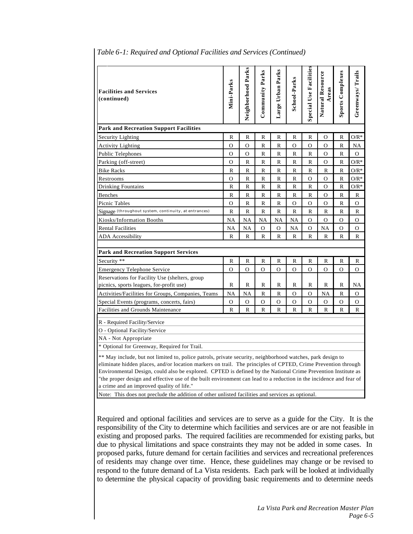| <b>Facilities and Services</b><br>(continued)                                                                                                                                                                                                                                                                                                                                                                                                                                                                 | Mini-Parks | Neighborhood Parks | Community Parks                                                                           | Large Urban Parks | School-Parks | <b>Special Use Facilities</b> | Natural Resource<br>Areas | <b>Sports Complexes</b> | Greenways/Trails |
|---------------------------------------------------------------------------------------------------------------------------------------------------------------------------------------------------------------------------------------------------------------------------------------------------------------------------------------------------------------------------------------------------------------------------------------------------------------------------------------------------------------|------------|--------------------|-------------------------------------------------------------------------------------------|-------------------|--------------|-------------------------------|---------------------------|-------------------------|------------------|
| <b>Park and Recreation Support Facilities</b>                                                                                                                                                                                                                                                                                                                                                                                                                                                                 |            |                    |                                                                                           |                   |              |                               |                           |                         |                  |
| Security Lighting                                                                                                                                                                                                                                                                                                                                                                                                                                                                                             | R          | R                  | R                                                                                         | R                 | R            | R                             | 0                         | R                       | $O/R^*$          |
| <b>Activity Lighting</b>                                                                                                                                                                                                                                                                                                                                                                                                                                                                                      | О          | О                  | R                                                                                         | R                 | О            | O                             | $\Omega$                  | R                       | NA               |
| Public Telephones                                                                                                                                                                                                                                                                                                                                                                                                                                                                                             | O          | О                  | R                                                                                         | R                 | R            | R                             | 0                         | R                       | 0                |
| Parking (off-street)                                                                                                                                                                                                                                                                                                                                                                                                                                                                                          | O          | R                  | R                                                                                         | R                 | R            | R                             | $\Omega$                  | R                       | $O/R^*$          |
| <b>Bike Racks</b>                                                                                                                                                                                                                                                                                                                                                                                                                                                                                             | R          | $\mathbb{R}$       | R                                                                                         | R                 | R            | R                             | R                         | R                       | $O/R^*$          |
| Restrooms                                                                                                                                                                                                                                                                                                                                                                                                                                                                                                     | О          | R                  | R                                                                                         | R                 | R            | O                             | $\Omega$                  | R                       | $O/R^*$          |
| Drinking Fountains                                                                                                                                                                                                                                                                                                                                                                                                                                                                                            | R          | $\mathbb{R}$       | R                                                                                         | R                 | R            | R                             | O                         | R                       | $O/R^*$          |
| Benches                                                                                                                                                                                                                                                                                                                                                                                                                                                                                                       | R          | $\mathbb{R}$       | R                                                                                         | R                 | R            | R                             | O                         | R                       | R                |
| Picnic Tables                                                                                                                                                                                                                                                                                                                                                                                                                                                                                                 | О          | R                  | R                                                                                         | R                 | О            | O                             | 0                         | R                       | O                |
| Signage (throughout system, continuity, at entrances)                                                                                                                                                                                                                                                                                                                                                                                                                                                         | R          | R                  | R                                                                                         | R                 | R            | R                             | R                         | R                       | R                |
| Kiosks/Information Booths                                                                                                                                                                                                                                                                                                                                                                                                                                                                                     | NA         | <b>NA</b>          | <b>NA</b>                                                                                 | NA                | <b>NA</b>    | O                             | $\mathcal{O}$             | О                       | О                |
| <b>Rental Facilities</b>                                                                                                                                                                                                                                                                                                                                                                                                                                                                                      | NA         | NA                 | $\mathbf{O}$                                                                              | $\mathbf{O}$      | <b>NA</b>    | $\Omega$                      | NA                        | О                       | О                |
| <b>ADA</b> Accessibility                                                                                                                                                                                                                                                                                                                                                                                                                                                                                      | R          | R                  | R                                                                                         | R                 | R            | R                             | R                         | R                       | R                |
|                                                                                                                                                                                                                                                                                                                                                                                                                                                                                                               |            |                    |                                                                                           |                   |              |                               |                           |                         |                  |
| <b>Park and Recreation Support Services</b>                                                                                                                                                                                                                                                                                                                                                                                                                                                                   |            |                    |                                                                                           |                   |              |                               |                           |                         |                  |
| Security **                                                                                                                                                                                                                                                                                                                                                                                                                                                                                                   | R          | $\mathbb{R}$       | R                                                                                         | R                 | R            | R                             | R                         | R                       | R                |
| <b>Emergency Telephone Service</b>                                                                                                                                                                                                                                                                                                                                                                                                                                                                            | O          | O                  | O                                                                                         | O                 | O            | O                             | $\Omega$                  | O                       | O                |
| Reservations for Facility Use (shelters, group                                                                                                                                                                                                                                                                                                                                                                                                                                                                |            |                    |                                                                                           |                   |              |                               |                           |                         |                  |
| picnics, sports leagues, for-profit use)                                                                                                                                                                                                                                                                                                                                                                                                                                                                      | R          | R                  | R                                                                                         | R                 | R            | R                             | R                         | R                       | NA               |
| Activities/Facilities for Groups, Companies, Teams                                                                                                                                                                                                                                                                                                                                                                                                                                                            | <b>NA</b>  | <b>NA</b>          | $\mathbb{R}$                                                                              | $\mathbb R$       | $\mathbf{O}$ | $\Omega$                      | <b>NA</b>                 | R                       | O                |
| Special Events (programs, concerts, fairs)<br>Facilities and Grounds Maintenance                                                                                                                                                                                                                                                                                                                                                                                                                              | 0<br>R     | $\mathbf{O}$<br>R  | O<br>R                                                                                    | $\mathbf O$<br>R  | O<br>R       | $\mathcal{O}$<br>R            | $\mathbf{O}$<br>R         | $\mathbf O$<br>R        | О<br>R           |
|                                                                                                                                                                                                                                                                                                                                                                                                                                                                                                               |            |                    |                                                                                           |                   |              |                               |                           |                         |                  |
| R - Required Facility/Service                                                                                                                                                                                                                                                                                                                                                                                                                                                                                 |            |                    |                                                                                           |                   |              |                               |                           |                         |                  |
| O - Optional Facility/Service                                                                                                                                                                                                                                                                                                                                                                                                                                                                                 |            |                    |                                                                                           |                   |              |                               |                           |                         |                  |
| NA - Not Appropriate                                                                                                                                                                                                                                                                                                                                                                                                                                                                                          |            |                    |                                                                                           |                   |              |                               |                           |                         |                  |
| * Optional for Greenway, Required for Trail.                                                                                                                                                                                                                                                                                                                                                                                                                                                                  |            |                    |                                                                                           |                   |              |                               |                           |                         |                  |
| ** May include, but not limited to, police patrols, private security, neighborhood watches, park design to<br>eliminate hidden places, and/or location markers on trail. The principles of CPTED, Crime Prevention through<br>Environmental Design, could also be explored. CPTED is defined by the National Crime Prevention Institute as<br>"the proper design and effective use of the built environment can lead to a reduction in the incidence and fear of<br>a crime and an improved quality of life." |            |                    |                                                                                           |                   |              |                               |                           |                         |                  |
| Note: This does not preclude the addition of other unlisted facilities and services as optional.                                                                                                                                                                                                                                                                                                                                                                                                              |            |                    |                                                                                           |                   |              |                               |                           |                         |                  |
| Required and optional facilities and services are to serve as a guide for the City. It is the<br>responsibility of the City to determine which facilities and services are or are not feasible in<br>existing and proposed parks. The required facilities are recommended for existing parks, but                                                                                                                                                                                                             |            |                    | due to physical limitations and space constraints they may not be added in some cases. In |                   |              |                               |                           |                         |                  |

#### *Table 6-1: Required and Optional Facilities and Services (Continued)*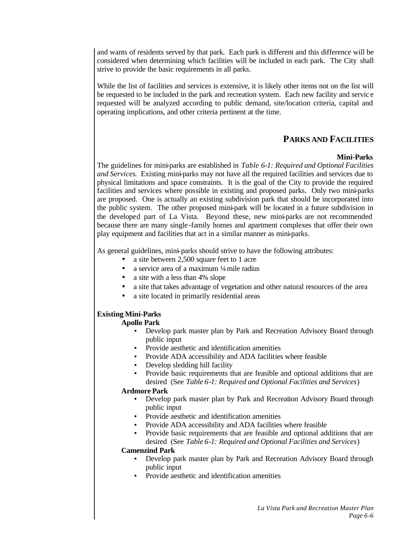and wants of residents served by that park. Each park is different and this difference will be considered when determining which facilities will be included in each park. The City shall strive to provide the basic requirements in all parks.

While the list of facilities and services is extensive, it is likely other items not on the list will be requested to be included in the park and recreation system. Each new facility and servic e requested will be analyzed according to public demand, site/location criteria, capital and operating implications, and other criteria pertinent at the time.

## **PARKS AND FACILITIES**

### **Mini-Parks**

The guidelines for mini-parks are established in *Table 6-1: Required and Optional Facilities and Services*. Existing mini-parks may not have all the required facilities and services due to physical limitations and space constraints. It is the goal of the City to provide the required facilities and services where possible in existing and proposed parks. Only two mini-parks are proposed. One is actually an existing subdivision park that should be incorporated into the public system. The other proposed mini-park will be located in a future subdivision in the developed part of La Vista. Beyond these, new mini-parks are not recommended because there are many single -family homes and apartment complexes that offer their own play equipment and facilities that act in a similar manner as mini-parks.

As general guidelines, mini-parks should strive to have the following attributes:

- a site between 2,500 square feet to 1 acre
- a service area of a maximum ¼ mile radius
- a site with a less than 4% slope
- a site that takes advantage of vegetation and other natural resources of the area
- a site located in primarily residential areas

## **Existing Mini-Parks**

## **Apollo Park**

- Develop park master plan by Park and Recreation Advisory Board through public input
- Provide aesthetic and identification amenities
- Provide ADA accessibility and ADA facilities where feasible
- Develop sledding hill facility
- Provide basic requirements that are feasible and optional additions that are desired (See *Table 6-1: Required and Optional Facilities and Services*)

## **Ardmore Park**

- Develop park master plan by Park and Recreation Advisory Board through public input
- Provide aesthetic and identification amenities
- Provide ADA accessibility and ADA facilities where feasible
- Provide basic requirements that are feasible and optional additions that are desired (See *Table 6-1: Required and Optional Facilities and Services*)

#### **Camenzind Park**

- Develop park master plan by Park and Recreation Advisory Board through public input
- Provide aesthetic and identification amenities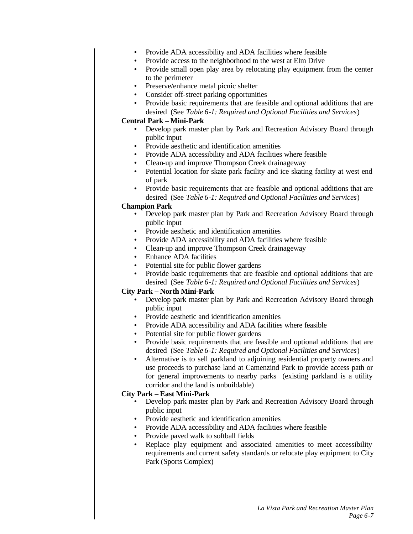- Provide ADA accessibility and ADA facilities where feasible
- Provide access to the neighborhood to the west at Elm Drive
- Provide small open play area by relocating play equipment from the center to the perimeter
- Preserve/enhance metal picnic shelter
- Consider off-street parking opportunities
- Provide basic requirements that are feasible and optional additions that are desired (See *Table 6-1: Required and Optional Facilities and Services*)

### **Central Park – Mini-Park**

- Develop park master plan by Park and Recreation Advisory Board through public input
- Provide aesthetic and identification amenities
- Provide ADA accessibility and ADA facilities where feasible
- Clean-up and improve Thompson Creek drainageway
- Potential location for skate park facility and ice skating facility at west end of park
- Provide basic requirements that are feasible and optional additions that are desired (See *Table 6-1: Required and Optional Facilities and Services*)

#### **Champion Park**

- Develop park master plan by Park and Recreation Advisory Board through public input
- Provide aesthetic and identification amenities
- Provide ADA accessibility and ADA facilities where feasible
- Clean-up and improve Thompson Creek drainageway
- Enhance ADA facilities
- Potential site for public flower gardens
- Provide basic requirements that are feasible and optional additions that are desired (See *Table 6-1: Required and Optional Facilities and Services*)

## **City Park – North Mini-Park**

- Develop park master plan by Park and Recreation Advisory Board through public input
- Provide aesthetic and identification amenities
- Provide ADA accessibility and ADA facilities where feasible
- Potential site for public flower gardens
- Provide basic requirements that are feasible and optional additions that are desired (See *Table 6-1: Required and Optional Facilities and Services*)
- Alternative is to sell parkland to adjoining residential property owners and use proceeds to purchase land at Camenzind Park to provide access path or for general improvements to nearby parks (existing parkland is a utility corridor and the land is unbuildable)

## **City Park – East Mini-Park**

- Develop park master plan by Park and Recreation Advisory Board through public input
- Provide aesthetic and identification amenities
- Provide ADA accessibility and ADA facilities where feasible
- Provide paved walk to softball fields
- Replace play equipment and associated amenities to meet accessibility requirements and current safety standards or relocate play equipment to City Park (Sports Complex)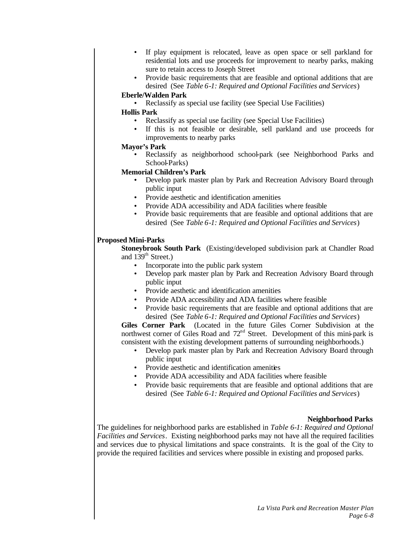- If play equipment is relocated, leave as open space or sell parkland for residential lots and use proceeds for improvement to nearby parks, making sure to retain access to Joseph Street
- Provide basic requirements that are feasible and optional additions that are desired (See *Table 6-1: Required and Optional Facilities and Services*)

#### **Eberle/Walden Park**

• Reclassify as special use facility (see Special Use Facilities)

#### **Hollis Park**

- Reclassify as special use facility (see Special Use Facilities)
- If this is not feasible or desirable, sell parkland and use proceeds for improvements to nearby parks

### **Mayor's Park**

• Reclassify as neighborhood school-park (see Neighborhood Parks and School-Parks)

## **Memorial Children's Park**

- Develop park master plan by Park and Recreation Advisory Board through public input
- Provide aesthetic and identification amenities
- Provide ADA accessibility and ADA facilities where feasible
- Provide basic requirements that are feasible and optional additions that are desired (See *Table 6-1: Required and Optional Facilities and Services*)

### **Proposed Mini-Parks**

**Stoneybrook South Park** (Existing/developed subdivision park at Chandler Road and  $139<sup>th</sup>$  Street.)

- Incorporate into the public park system
- Develop park master plan by Park and Recreation Advisory Board through public input
- Provide aesthetic and identification amenities
- Provide ADA accessibility and ADA facilities where feasible
- Provide basic requirements that are feasible and optional additions that are desired (See *Table 6-1: Required and Optional Facilities and Services*)

**Giles Corner Park** (Located in the future Giles Corner Subdivision at the northwest corner of Giles Road and  $72<sup>nd</sup>$  Street. Development of this mini-park is consistent with the existing development patterns of surrounding neighborhoods.)

- Develop park master plan by Park and Recreation Advisory Board through public input
- Provide aesthetic and identification amenities
- Provide ADA accessibility and ADA facilities where feasible
- Provide basic requirements that are feasible and optional additions that are desired (See *Table 6-1: Required and Optional Facilities and Services*)

## **Neighborhood Parks**

The guidelines for neighborhood parks are established in *Table 6-1: Required and Optional Facilities and Services*. Existing neighborhood parks may not have all the required facilities and services due to physical limitations and space constraints. It is the goal of the City to provide the required facilities and services where possible in existing and proposed parks.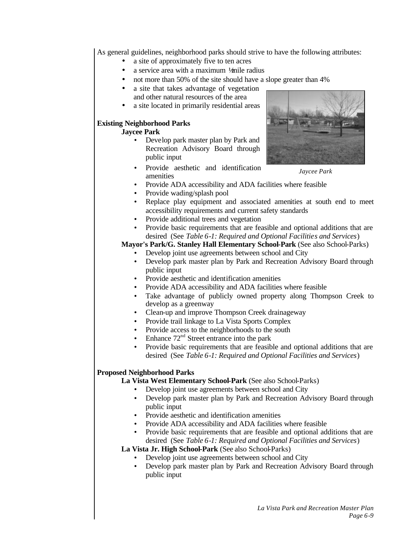As general guidelines, neighborhood parks should strive to have the following attributes:

- a site of approximately five to ten acres
- a service area with a maximum 1/mile radius
- not more than 50% of the site should have a slope greater than 4%
- a site that takes advantage of vegetation and other natural resources of the area
- a site located in primarily residential areas

## **Existing Neighborhood Parks**

### **Jaycee Park**

- Develop park master plan by Park and Recreation Advisory Board through public input
- Provide aesthetic and identification amenities



*Jaycee Park*

- Provide ADA accessibility and ADA facilities where feasible
- Provide wading/splash pool
- Replace play equipment and associated amenities at south end to meet accessibility requirements and current safety standards
- Provide additional trees and vegetation
- Provide basic requirements that are feasible and optional additions that are desired (See *Table 6-1: Required and Optional Facilities and Services*)

## **Mayor's Park/G. Stanley Hall Elementary School-Park** (See also School-Parks)

- Develop joint use agreements between school and City
- Develop park master plan by Park and Recreation Advisory Board through public input
- Provide aesthetic and identification amenities
- Provide ADA accessibility and ADA facilities where feasible
- Take advantage of publicly owned property along Thompson Creek to develop as a greenway
- Clean-up and improve Thompson Creek drainageway
- Provide trail linkage to La Vista Sports Complex
- Provide access to the neighborhoods to the south
- Enhance  $72<sup>nd</sup>$  Street entrance into the park
- Provide basic requirements that are feasible and optional additions that are desired (See *Table 6-1: Required and Optional Facilities and Services*)

## **Proposed Neighborhood Parks**

## **La Vista West Elementary School-Park** (See also School-Parks)

- Develop joint use agreements between school and City
- Develop park master plan by Park and Recreation Advisory Board through public input
- Provide aesthetic and identification amenities
- Provide ADA accessibility and ADA facilities where feasible
- Provide basic requirements that are feasible and optional additions that are desired (See *Table 6-1: Required and Optional Facilities and Services*)

## **La Vista Jr. High School-Park** (See also School-Parks)

- Develop joint use agreements between school and City
- Develop park master plan by Park and Recreation Advisory Board through public input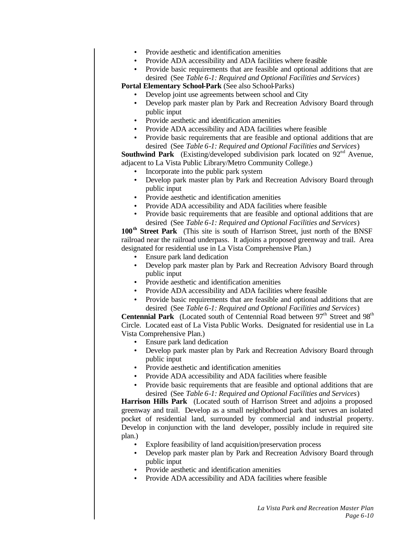- Provide aesthetic and identification amenities
- Provide ADA accessibility and ADA facilities where feasible
- Provide basic requirements that are feasible and optional additions that are desired (See *Table 6-1: Required and Optional Facilities and Services*)

**Portal Elementary School-Park** (See also School-Parks)

- Develop joint use agreements between school and City
- Develop park master plan by Park and Recreation Advisory Board through public input
- Provide aesthetic and identification amenities
- Provide ADA accessibility and ADA facilities where feasible
- Provide basic requirements that are feasible and optional additions that are desired (See *Table 6-1: Required and Optional Facilities and Services*)

**Southwind Park** (Existing/developed subdivision park located on 92<sup>nd</sup> Avenue, adjacent to La Vista Public Library/Metro Community College.)

- Incorporate into the public park system
- Develop park master plan by Park and Recreation Advisory Board through public input
- Provide aesthetic and identification amenities
- Provide ADA accessibility and ADA facilities where feasible
- Provide basic requirements that are feasible and optional additions that are desired (See *Table 6-1: Required and Optional Facilities and Services*)

**100th Street Park** (This site is south of Harrison Street, just north of the BNSF railroad near the railroad underpass. It adjoins a proposed greenway and trail. Area designated for residential use in La Vista Comprehensive Plan.)

- Ensure park land dedication
- Develop park master plan by Park and Recreation Advisory Board through public input
- Provide aesthetic and identification amenities
- Provide ADA accessibility and ADA facilities where feasible
- Provide basic requirements that are feasible and optional additions that are desired (See *Table 6-1: Required and Optional Facilities and Services*)

**Centennial Park** (Located south of Centennial Road between  $97<sup>th</sup>$  Street and  $98<sup>th</sup>$ Circle. Located east of La Vista Public Works. Designated for residential use in La Vista Comprehensive Plan.)

- Ensure park land dedication
- Develop park master plan by Park and Recreation Advisory Board through public input
- Provide aesthetic and identification amenities
- Provide ADA accessibility and ADA facilities where feasible
- Provide basic requirements that are feasible and optional additions that are desired (See *Table 6-1: Required and Optional Facilities and Services*)

**Harrison Hills Park** (Located south of Harrison Street and adjoins a proposed greenway and trail. Develop as a small neighborhood park that serves an isolated pocket of residential land, surrounded by commercial and industrial property. Develop in conjunction with the land developer, possibly include in required site plan.)

- Explore feasibility of land acquisition/preservation process
- Develop park master plan by Park and Recreation Advisory Board through public input
- Provide aesthetic and identification amenities
- Provide ADA accessibility and ADA facilities where feasible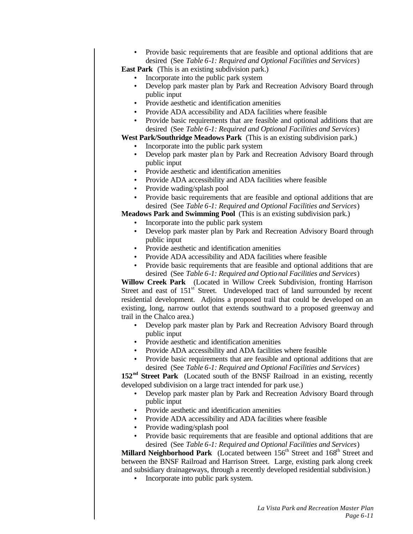• Provide basic requirements that are feasible and optional additions that are desired (See *Table 6-1: Required and Optional Facilities and Services*)

**East Park** (This is an existing subdivision park.)

- Incorporate into the public park system
- Develop park master plan by Park and Recreation Advisory Board through public input
- Provide aesthetic and identification amenities
- Provide ADA accessibility and ADA facilities where feasible
- Provide basic requirements that are feasible and optional additions that are desired (See *Table 6-1: Required and Optional Facilities and Services*)

**West Park/Southridge Meadows Park** (This is an existing subdivision park.)

- Incorporate into the public park system
- Develop park master plan by Park and Recreation Advisory Board through public input
- Provide aesthetic and identification amenities
- Provide ADA accessibility and ADA facilities where feasible
- Provide wading/splash pool
- Provide basic requirements that are feasible and optional additions that are desired (See *Table 6-1: Required and Optional Facilities and Services*)

**Meadows Park and Swimming Pool** (This is an existing subdivision park.)

- Incorporate into the public park system
- Develop park master plan by Park and Recreation Advisory Board through public input
- Provide aesthetic and identification amenities
- Provide ADA accessibility and ADA facilities where feasible
- Provide basic requirements that are feasible and optional additions that are desired (See *Table 6-1: Required and Optional Facilities and Services*)

**Willow Creek Park** (Located in Willow Creek Subdivision, fronting Harrison Street and east of  $151<sup>st</sup>$  Street. Undeveloped tract of land surrounded by recent residential development. Adjoins a proposed trail that could be developed on an existing, long, narrow outlot that extends southward to a proposed greenway and trail in the Chalco area.)

- Develop park master plan by Park and Recreation Advisory Board through public input
- Provide aesthetic and identification amenities
- Provide ADA accessibility and ADA facilities where feasible
- Provide basic requirements that are feasible and optional additions that are desired (See *Table 6-1: Required and Optional Facilities and Services*)

152<sup>nd</sup> Street Park (Located south of the BNSF Railroad in an existing, recently developed subdivision on a large tract intended for park use.)

- Develop park master plan by Park and Recreation Advisory Board through public input
- Provide aesthetic and identification amenities
- Provide ADA accessibility and ADA facilities where feasible
- Provide wading/splash pool
- Provide basic requirements that are feasible and optional additions that are desired (See *Table 6-1: Required and Optional Facilities and Services*)

**Millard Neighborhood Park** (Located between 156<sup>th</sup> Street and 168<sup>th</sup> Street and between the BNSF Railroad and Harrison Street. Large, existing park along creek and subsidiary drainageways, through a recently developed residential subdivision.)

• Incorporate into public park system.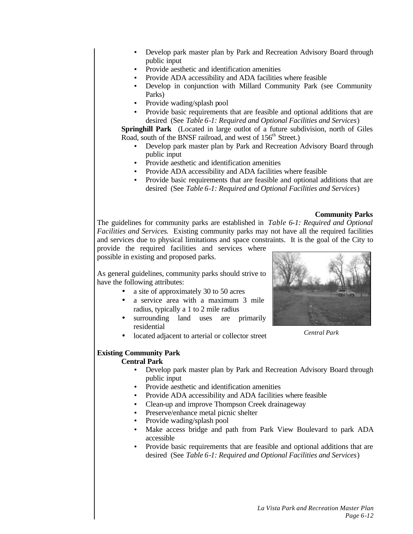- Develop park master plan by Park and Recreation Advisory Board through public input
- Provide aesthetic and identification amenities
- Provide ADA accessibility and ADA facilities where feasible
- Develop in conjunction with Millard Community Park (see Community Parks)
- Provide wading/splash pool
- Provide basic requirements that are feasible and optional additions that are desired (See *Table 6-1: Required and Optional Facilities and Services*)

**Springhill Park** (Located in large outlot of a future subdivision, north of Giles Road, south of the BNSF railroad, and west of 156<sup>th</sup> Street.)

- Develop park master plan by Park and Recreation Advisory Board through public input
- Provide aesthetic and identification amenities
- Provide ADA accessibility and ADA facilities where feasible
- Provide basic requirements that are feasible and optional additions that are desired (See *Table 6-1: Required and Optional Facilities and Services*)

#### **Community Parks**

The guidelines for community parks are established in *Table 6-1: Required and Optional Facilities and Services*. Existing community parks may not have all the required facilities and services due to physical limitations and space constraints. It is the goal of the City to

provide the required facilities and services where possible in existing and proposed parks.

As general guidelines, community parks should strive to have the following attributes:

- a site of approximately 30 to 50 acres
- a service area with a maximum 3 mile radius, typically a 1 to 2 mile radius
- surrounding land uses are primarily residential
- located adjacent to arterial or collector street



*Central Park*

## **Existing Community Park**

## **Central Park**

- Develop park master plan by Park and Recreation Advisory Board through public input
- Provide aesthetic and identification amenities
- Provide ADA accessibility and ADA facilities where feasible
- Clean-up and improve Thompson Creek drainageway
- Preserve/enhance metal picnic shelter
- Provide wading/splash pool
- Make access bridge and path from Park View Boulevard to park ADA accessible
- Provide basic requirements that are feasible and optional additions that are desired (See *Table 6-1: Required and Optional Facilities and Services*)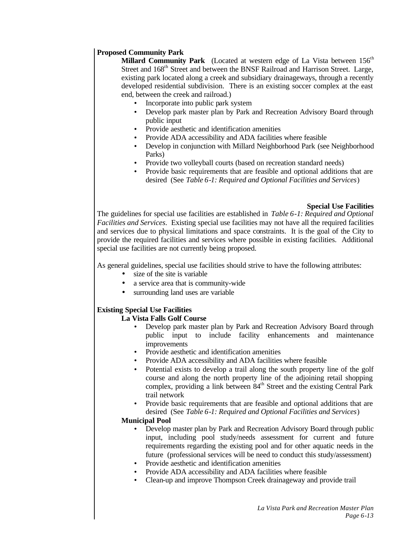### **Proposed Community Park**

**Millard Community Park** (Located at western edge of La Vista between 156<sup>th</sup> Street and 168<sup>th</sup> Street and between the BNSF Railroad and Harrison Street. Large, existing park located along a creek and subsidiary drainageways, through a recently developed residential subdivision. There is an existing soccer complex at the east end, between the creek and railroad.)

- Incorporate into public park system
- Develop park master plan by Park and Recreation Advisory Board through public input
- Provide aesthetic and identification amenities
- Provide ADA accessibility and ADA facilities where feasible
- Develop in conjunction with Millard Neighborhood Park (see Neighborhood Parks)
- Provide two volleyball courts (based on recreation standard needs)
- Provide basic requirements that are feasible and optional additions that are desired (See *Table 6-1: Required and Optional Facilities and Services*)

#### **Special Use Facilities**

The guidelines for special use facilities are established in *Table 6-1: Required and Optional Facilities and Services*. Existing special use facilities may not have all the required facilities and services due to physical limitations and space constraints. It is the goal of the City to provide the required facilities and services where possible in existing facilities. Additional special use facilities are not currently being proposed.

As general guidelines, special use facilities should strive to have the following attributes:

- size of the site is variable
- a service area that is community-wide
- surrounding land uses are variable

## **Existing Special Use Facilities**

## **La Vista Falls Golf Course**

- Develop park master plan by Park and Recreation Advisory Board through public input to include facility enhancements and maintenance improvements
- Provide aesthetic and identification amenities
- Provide ADA accessibility and ADA facilities where feasible
- Potential exists to develop a trail along the south property line of the golf course and along the north property line of the adjoining retail shopping complex, providing a link between  $84<sup>th</sup>$  Street and the existing Central Park trail network
- Provide basic requirements that are feasible and optional additions that are desired (See *Table 6-1: Required and Optional Facilities and Services*)

#### **Municipal Pool**

- Develop master plan by Park and Recreation Advisory Board through public input, including pool study/needs assessment for current and future requirements regarding the existing pool and for other aquatic needs in the future (professional services will be need to conduct this study/assessment)
- Provide aesthetic and identification amenities
- Provide ADA accessibility and ADA facilities where feasible
- Clean-up and improve Thompson Creek drainageway and provide trail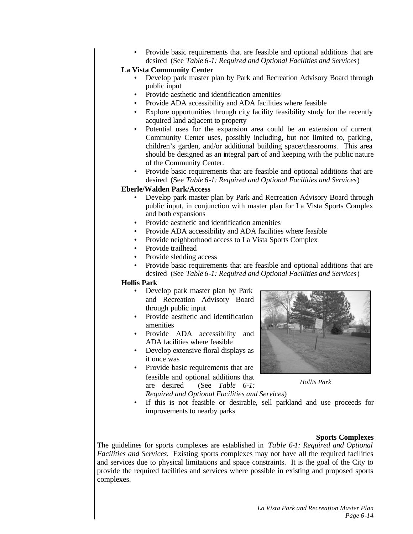• Provide basic requirements that are feasible and optional additions that are desired (See *Table 6-1: Required and Optional Facilities and Services*)

### **La Vista Community Center**

- Develop park master plan by Park and Recreation Advisory Board through public input
- Provide aesthetic and identification amenities
- Provide ADA accessibility and ADA facilities where feasible
- Explore opportunities through city facility feasibility study for the recently acquired land adjacent to property
- Potential uses for the expansion area could be an extension of current Community Center uses, possibly including, but not limited to, parking, children's garden, and/or additional building space/classrooms. This area should be designed as an integral part of and keeping with the public nature of the Community Center.
- Provide basic requirements that are feasible and optional additions that are desired (See *Table 6-1: Required and Optional Facilities and Services*)

#### **Eberle/Walden Park/Access**

- Develop park master plan by Park and Recreation Advisory Board through public input, in conjunction with master plan for La Vista Sports Complex and both expansions
- Provide aesthetic and identification amenities
- Provide ADA accessibility and ADA facilities where feasible
- Provide neighborhood access to La Vista Sports Complex
- Provide trailhead
- Provide sledding access
- Provide basic requirements that are feasible and optional additions that are desired (See *Table 6-1: Required and Optional Facilities and Services*)

#### **Hollis Park**

- Develop park master plan by Park and Recreation Advisory Board through public input
- Provide aesthetic and identification amenities
- Provide ADA accessibility and ADA facilities where feasible
- Develop extensive floral displays as it once was
- Provide basic requirements that are feasible and optional additions that<br>are desired (See Table 6-1: (See *Table 6-1: Required and Optional Facilities and Services*)



*Hollis Park*

If this is not feasible or desirable, sell parkland and use proceeds for improvements to nearby parks

#### **Sports Complexes**

The guidelines for sports complexes are established in *Table 6-1: Required and Optional Facilities and Services*. Existing sports complexes may not have all the required facilities and services due to physical limitations and space constraints. It is the goal of the City to provide the required facilities and services where possible in existing and proposed sports complexes.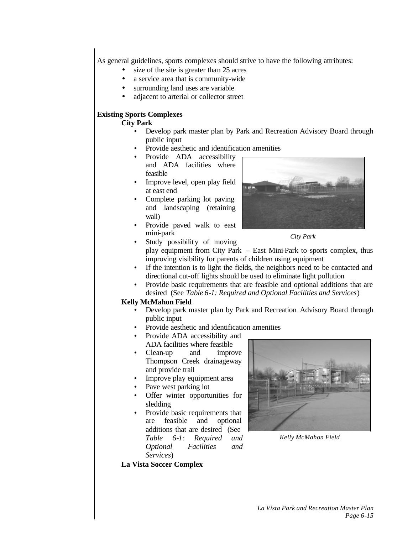As general guidelines, sports complexes should strive to have the following attributes:

- size of the site is greater than 25 acres
- a service area that is community-wide
- surrounding land uses are variable
- adjacent to arterial or collector street

## **Existing Sports Complexes**

#### **City Park**

- Develop park master plan by Park and Recreation Advisory Board through public input
- Provide aesthetic and identification amenities
- Provide ADA accessibility and ADA facilities where feasible
- Improve level, open play field at east end
- Complete parking lot paving and landscaping (retaining wall)
- Provide paved walk to east mini-park



*City Park*

- Study possibility of moving play equipment from City Park – East Mini-Park to sports complex, thus improving visibility for parents of children using equipment
- If the intention is to light the fields, the neighbors need to be contacted and directional cut-off lights should be used to eliminate light pollution
- Provide basic requirements that are feasible and optional additions that are desired (See *Table 6-1: Required and Optional Facilities and Services*)

## **Kelly McMahon Field**

- Develop park master plan by Park and Recreation Advisory Board through public input
- Provide aesthetic and identification amenities
- Provide ADA accessibility and ADA facilities where feasible
- Clean-up and improve Thompson Creek drainageway and provide trail
- Improve play equipment area
- Pave west parking lot
- Offer winter opportunities for sledding
- Provide basic requirements that are feasible and optional additions that are desired (See *Table 6-1: Required and Optional Facilities and Services*)



*Kelly McMahon Field*

#### **La Vista Soccer Complex**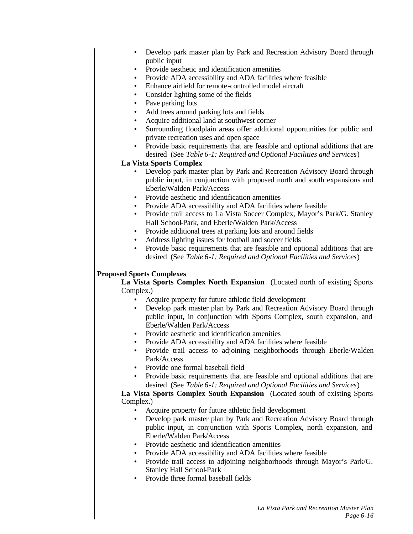- Develop park master plan by Park and Recreation Advisory Board through public input
- Provide aesthetic and identification amenities
- Provide ADA accessibility and ADA facilities where feasible
- Enhance airfield for remote-controlled model aircraft
- Consider lighting some of the fields
- Pave parking lots
- Add trees around parking lots and fields
- Acquire additional land at southwest corner
- Surrounding floodplain areas offer additional opportunities for public and private recreation uses and open space
- Provide basic requirements that are feasible and optional additions that are desired (See *Table 6-1: Required and Optional Facilities and Services*)

## **La Vista Sports Complex**

- Develop park master plan by Park and Recreation Advisory Board through public input, in conjunction with proposed north and south expansions and Eberle/Walden Park/Access
- Provide aesthetic and identification amenities
- Provide ADA accessibility and ADA facilities where feasible
- Provide trail access to La Vista Soccer Complex, Mayor's Park/G. Stanley Hall School-Park, and Eberle/Walden Park/Access
- Provide additional trees at parking lots and around fields
- Address lighting issues for football and soccer fields
- Provide basic requirements that are feasible and optional additions that are desired (See *Table 6-1: Required and Optional Facilities and Services*)

## **Proposed Sports Complexes**

**La Vista Sports Complex North Expansion** (Located north of existing Sports Complex.)

- Acquire property for future athletic field development
- Develop park master plan by Park and Recreation Advisory Board through public input, in conjunction with Sports Complex, south expansion, and Eberle/Walden Park/Access
- Provide aesthetic and identification amenities
- Provide ADA accessibility and ADA facilities where feasible
- Provide trail access to adjoining neighborhoods through Eberle/Walden Park/Access
- Provide one formal baseball field
- Provide basic requirements that are feasible and optional additions that are desired (See *Table 6-1: Required and Optional Facilities and Services*)

### **La Vista Sports Complex South Expansion** (Located south of existing Sports Complex.)

- Acquire property for future athletic field development
- Develop park master plan by Park and Recreation Advisory Board through public input, in conjunction with Sports Complex, north expansion, and Eberle/Walden Park/Access
- Provide aesthetic and identification amenities
- Provide ADA accessibility and ADA facilities where feasible
- Provide trail access to adjoining neighborhoods through Mayor's Park/G. Stanley Hall School-Park
- Provide three formal baseball fields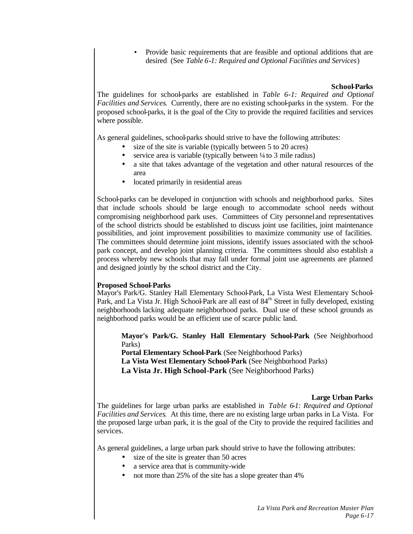• Provide basic requirements that are feasible and optional additions that are desired (See *Table 6-1: Required and Optional Facilities and Services*)

#### **School-Parks**

The guidelines for school-parks are established in *Table 6-1: Required and Optional Facilities and Services*. Currently, there are no existing school-parks in the system. For the proposed school-parks, it is the goal of the City to provide the required facilities and services where possible.

As general guidelines, school-parks should strive to have the following attributes:

- size of the site is variable (typically between 5 to 20 acres)
- service area is variable (typically between ¼ to 3 mile radius)
- a site that takes advantage of the vegetation and other natural resources of the area
- located primarily in residential areas

School-parks can be developed in conjunction with schools and neighborhood parks. Sites that include schools should be large enough to accommodate school needs without compromising neighborhood park uses. Committees of City personnel and representatives of the school districts should be established to discuss joint use facilities, joint maintenance possibilities, and joint improvement possibilities to maximize community use of facilities. The committees should determine joint missions, identify issues associated with the schoolpark concept, and develop joint planning criteria. The committees should also establish a process whereby new schools that may fall under formal joint use agreements are planned and designed jointly by the school district and the City.

#### **Proposed School-Parks**

Mayor's Park/G. Stanley Hall Elementary School-Park, La Vista West Elementary School-Park, and La Vista Jr. High School-Park are all east of 84<sup>th</sup> Street in fully developed, existing neighborhoods lacking adequate neighborhood parks. Dual use of these school grounds as neighborhood parks would be an efficient use of scarce public land.

**Mayor's Park/G. Stanley Hall Elementary School-Park** (See Neighborhood Parks)

**Portal Elementary School-Park** (See Neighborhood Parks) **La Vista West Elementary School-Park** (See Neighborhood Parks) **La Vista Jr. High School-Park** (See Neighborhood Parks)

#### **Large Urban Parks**

The guidelines for large urban parks are established in *Table 6-1: Required and Optional Facilities and Services*. At this time, there are no existing large urban parks in La Vista. For the proposed large urban park, it is the goal of the City to provide the required facilities and services.

As general guidelines, a large urban park should strive to have the following attributes:

- size of the site is greater than 50 acres
- a service area that is community-wide
- not more than 25% of the site has a slope greater than 4%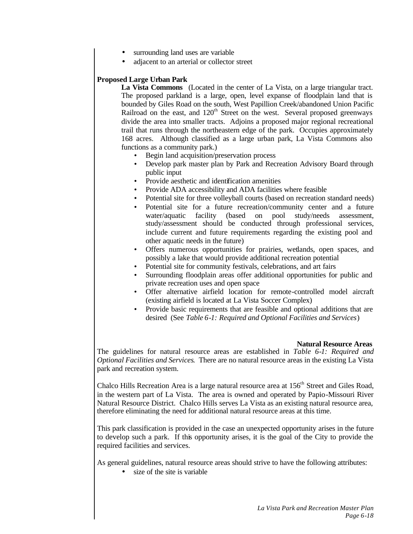- surrounding land uses are variable
- adjacent to an arterial or collector street

## **Proposed Large Urban Park**

**La Vista Commons** (Located in the center of La Vista, on a large triangular tract. The proposed parkland is a large, open, level expanse of floodplain land that is bounded by Giles Road on the south, West Papillion Creek/abandoned Union Pacific Railroad on the east, and  $120<sup>th</sup>$  Street on the west. Several proposed greenways divide the area into smaller tracts. Adjoins a proposed major regional recreational trail that runs through the northeastern edge of the park. Occupies approximately 168 acres. Although classified as a large urban park, La Vista Commons also functions as a community park.)

- Begin land acquisition/preservation process
- Develop park master plan by Park and Recreation Advisory Board through public input
- Provide aesthetic and identification amenities
- Provide ADA accessibility and ADA facilities where feasible
- Potential site for three volleyball courts (based on recreation standard needs)
- Potential site for a future recreation/community center and a future water/aquatic facility (based on pool study/needs assessment, study/assessment should be conducted through professional services, include current and future requirements regarding the existing pool and other aquatic needs in the future)
- Offers numerous opportunities for prairies, wetlands, open spaces, and possibly a lake that would provide additional recreation potential
- Potential site for community festivals, celebrations, and art fairs
- Surrounding floodplain areas offer additional opportunities for public and private recreation uses and open space
- Offer alternative airfield location for remote-controlled model aircraft (existing airfield is located at La Vista Soccer Complex)
- Provide basic requirements that are feasible and optional additions that are desired (See *Table 6-1: Required and Optional Facilities and Services*)

#### **Natural Resource Areas**

The guidelines for natural resource areas are established in *Table 6-1: Required and Optional Facilities and Services*. There are no natural resource areas in the existing La Vista park and recreation system.

Chalco Hills Recreation Area is a large natural resource area at 156<sup>th</sup> Street and Giles Road, in the western part of La Vista. The area is owned and operated by Papio-Missouri River Natural Resource District. Chalco Hills serves La Vista as an existing natural resource area, therefore eliminating the need for additional natural resource areas at this time.

This park classification is provided in the case an unexpected opportunity arises in the future to develop such a park. If this opportunity arises, it is the goal of the City to provide the required facilities and services.

As general guidelines, natural resource areas should strive to have the following attributes:

• size of the site is variable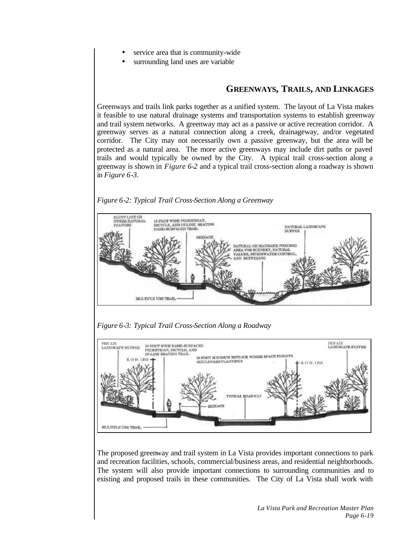- service area that is community-wide.
- surrounding land uses are variable

## **GREENWAYS, TRAILS, AND LINKAGES**

Greenways and trails link parks together as a unified system. The layout of La Vista makes it feasible to use natural drainage systems and transportation systems to establish greenway and trail system networks. A greenway may act as a passive or active recreation corridor. A greenway serves as a natural connection along a creek, drainageway, and/or vegetated corridor. The City may not necessarily own a passive greenway, but the area will be protected as a natural area. The more active greenways may include dirt paths or paved trails and would typically be owned by the City. A typical trail cross-section along a greenway is shown in *Figure 6-2* and a typical trail cross-section along a roadway is shown in *Figure 6-3.*

### *Figure 6-2: Typical Trail Cross-Section Along a Greenway*



*Figure 6-3: Typical Trail Cross-Section Along a Roadway*



The proposed greenway and trail system in La Vista provides important connections to park and recreation facilities, schools, commercial/business areas, and residential neighborhoods. The system will also provide important connections to surrounding communities and to existing and proposed trails in these communities. The City of La Vista shall work with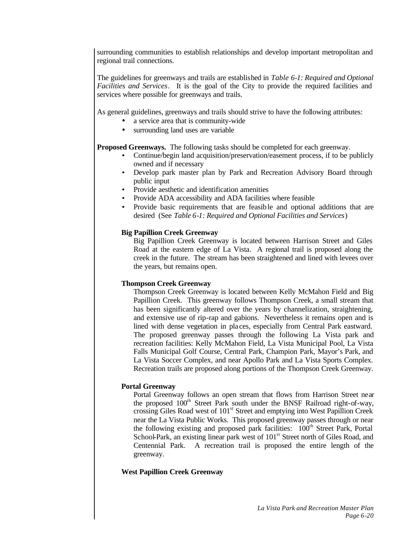surrounding communities to establish relationships and develop important metropolitan and regional trail connections.

The guidelines for greenways and trails are established in *Table 6-1: Required and Optional Facilities and Services*. It is the goal of the City to provide the required facilities and services where possible for greenways and trails.

As general guidelines, greenways and trails should strive to have the following attributes:

- a service area that is community-wide
- surrounding land uses are variable

**Proposed Greenways.** The following tasks should be completed for each greenway.

- Continue/begin land acquisition/preservation/easement process, if to be publicly owned and if necessary
- Develop park master plan by Park and Recreation Advisory Board through public input
- Provide aesthetic and identification amenities
- Provide ADA accessibility and ADA facilities where feasible
- Provide basic requirements that are feasib le and optional additions that are desired (See *Table 6-1: Required and Optional Facilities and Services*)

### **Big Papillion Creek Greenway**

Big Papillion Creek Greenway is located between Harrison Street and Giles Road at the eastern edge of La Vista. A regional trail is proposed along the creek in the future. The stream has been straightened and lined with levees over the years, but remains open.

## **Thompson Creek Greenway**

Thompson Creek Greenway is located between Kelly McMahon Field and Big Papillion Creek. This greenway follows Thompson Creek, a small stream that has been significantly altered over the years by channelization, straightening, and extensive use of rip-rap and gabions. Nevertheless it remains open and is lined with dense vegetation in pla ces, especially from Central Park eastward. The proposed greenway passes through the following La Vista park and recreation facilities: Kelly McMahon Field, La Vista Municipal Pool, La Vista Falls Municipal Golf Course, Central Park, Champion Park, Mayor's Park, and La Vista Soccer Complex, and near Apollo Park and La Vista Sports Complex. Recreation trails are proposed along portions of the Thompson Creek Greenway.

#### **Portal Greenway**

Portal Greenway follows an open stream that flows from Harrison Street near the proposed  $100<sup>th</sup>$  Street Park south under the BNSF Railroad right-of-way, crossing Giles Road west of 101<sup>st</sup> Street and emptying into West Papillion Creek near the La Vista Public Works. This proposed greenway passes through or near the following existing and proposed park facilities:  $100<sup>th</sup>$  Street Park, Portal School-Park, an existing linear park west of  $101<sup>st</sup>$  Street north of Giles Road, and Centennial Park. A recreation trail is proposed the entire length of the greenway.

## **West Papillion Creek Greenway**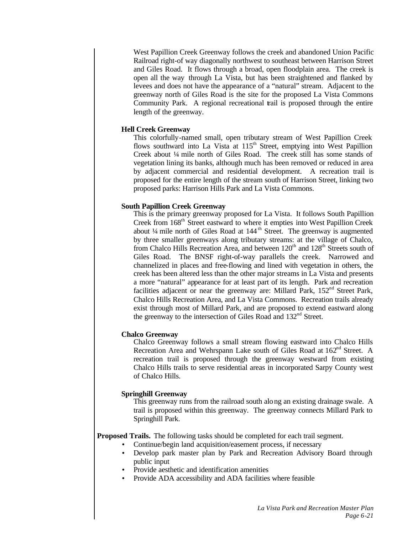West Papillion Creek Greenway follows the creek and abandoned Union Pacific Railroad right-of way diagonally northwest to southeast between Harrison Street and Giles Road. It flows through a broad, open floodplain area. The creek is open all the way through La Vista, but has been straightened and flanked by levees and does not have the appearance of a "natural" stream. Adjacent to the greenway north of Giles Road is the site for the proposed La Vista Commons Community Park. A regional recreational trail is proposed through the entire length of the greenway.

### **Hell Creek Greenway**

This colorfully-named small, open tributary stream of West Papillion Creek flows southward into La Vista at  $115<sup>th</sup>$  Street, emptying into West Papillion Creek about ¼ mile north of Giles Road. The creek still has some stands of vegetation lining its banks, although much has been removed or reduced in area by adjacent commercial and residential development. A recreation trail is proposed for the entire length of the stream south of Harrison Street, linking two proposed parks: Harrison Hills Park and La Vista Commons.

### **South Papillion Creek Greenway**

This is the primary greenway proposed for La Vista. It follows South Papillion Creek from 168<sup>th</sup> Street eastward to where it empties into West Papillion Creek about  $\frac{1}{4}$  mile north of Giles Road at  $144^{\text{th}}$  Street. The greenway is augmented by three smaller greenways along tributary streams: at the village of Chalco, from Chalco Hills Recreation Area, and between  $120<sup>th</sup>$  and  $128<sup>th</sup>$  Streets south of Giles Road. The BNSF right-of-way parallels the creek. Narrowed and channelized in places and free-flowing and lined with vegetation in others, the creek has been altered less than the other major streams in La Vista and presents a more "natural" appearance for at least part of its length. Park and recreation facilities adjacent or near the greenway are: Millard Park,  $152<sup>nd</sup>$  Street Park, Chalco Hills Recreation Area, and La Vista Commons. Recreation trails already exist through most of Millard Park, and are proposed to extend eastward along the greenway to the intersection of Giles Road and 132<sup>nd</sup> Street.

#### **Chalco Greenway**

Chalco Greenway follows a small stream flowing eastward into Chalco Hills Recreation Area and Wehrspann Lake south of Giles Road at 162<sup>nd</sup> Street. A recreation trail is proposed through the greenway westward from existing Chalco Hills trails to serve residential areas in incorporated Sarpy County west of Chalco Hills.

#### **Springhill Greenway**

This greenway runs from the railroad south along an existing drainage swale. A trail is proposed within this greenway. The greenway connects Millard Park to Springhill Park.

**Proposed Trails.** The following tasks should be completed for each trail segment.

- Continue/begin land acquisition/easement process, if necessary
- Develop park master plan by Park and Recreation Advisory Board through public input
- Provide aesthetic and identification amenities
- Provide ADA accessibility and ADA facilities where feasible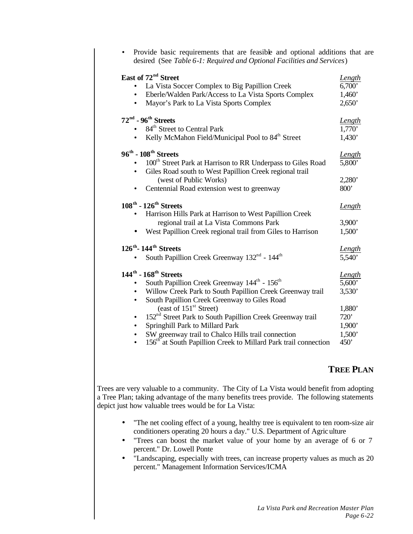| Provide basic requirements that are feasible and optional additions that are<br>$\bullet$<br>desired (See Table 6-1: Required and Optional Facilities and Services)                                                                                                                                                                                                                                                                                                               |                                                                         |
|-----------------------------------------------------------------------------------------------------------------------------------------------------------------------------------------------------------------------------------------------------------------------------------------------------------------------------------------------------------------------------------------------------------------------------------------------------------------------------------|-------------------------------------------------------------------------|
| East of 72 <sup>nd</sup> Street<br>La Vista Soccer Complex to Big Papillion Creek<br>Eberle/Walden Park/Access to La Vista Sports Complex<br>$\bullet$<br>Mayor's Park to La Vista Sports Complex<br>$\bullet$                                                                                                                                                                                                                                                                    | <b>Length</b><br>6,700'<br>1,460'<br>2,650'                             |
| $72^{\rm nd}$ - $96^{\rm th}$ Streets<br>84 <sup>th</sup> Street to Central Park<br>Kelly McMahon Field/Municipal Pool to 84 <sup>th</sup> Street                                                                                                                                                                                                                                                                                                                                 | Length<br>1,770'<br>1,430'                                              |
| $96^{\rm th}$ - $108^{\rm th}$ Streets<br>100 <sup>th</sup> Street Park at Harrison to RR Underpass to Giles Road<br>Giles Road south to West Papillion Creek regional trail<br>$\bullet$<br>(west of Public Works)<br>Centennial Road extension west to greenway                                                                                                                                                                                                                 | Length<br>5,800<br>2,280'<br>800'                                       |
| $108^{\text{th}}$ - $126^{\text{th}}$ Streets<br>Harrison Hills Park at Harrison to West Papillion Creek<br>$\bullet$<br>regional trail at La Vista Commons Park<br>West Papillion Creek regional trail from Giles to Harrison                                                                                                                                                                                                                                                    | Length<br>3,900'<br>1,500'                                              |
| $126^{\text{th}}$ - 144 <sup>th</sup> Streets<br>South Papillion Creek Greenway 132 <sup>nd</sup> - 144 <sup>th</sup>                                                                                                                                                                                                                                                                                                                                                             | Length<br>5,540'                                                        |
| $144^{\text{th}}$ - $168^{\text{th}}$ Streets<br>South Papillion Creek Greenway 144 <sup>th</sup> - 156 <sup>th</sup><br>Willow Creek Park to South Papillion Creek Greenway trail<br>South Papillion Creek Greenway to Giles Road<br>$\bullet$<br>(east of 151 <sup>st</sup> Street)<br>152 <sup>nd</sup> Street Park to South Papillion Creek Greenway trail<br>$\bullet$<br>Springhill Park to Millard Park<br>$\bullet$<br>SW greenway trail to Chalco Hills trail connection | <u>Length</u><br>5,600'<br>3,530'<br>1,880'<br>720'<br>1,900'<br>1,500' |
| 156 <sup>th</sup> at South Papillion Creek to Millard Park trail connection<br>$\bullet$                                                                                                                                                                                                                                                                                                                                                                                          | 450'                                                                    |

## **TREE PLAN**

Trees are very valuable to a community. The City of La Vista would benefit from adopting a Tree Plan; taking advantage of the many benefits trees provide. The following statements depict just how valuable trees would be for La Vista:

- "The net cooling effect of a young, healthy tree is equivalent to ten room-size air conditioners operating 20 hours a day." U.S. Department of Agriculture
- "Trees can boost the market value of your home by an average of 6 or 7 percent." Dr. Lowell Ponte
- "Landscaping, especially with trees, can increase property values as much as 20 percent." Management Information Services/ICMA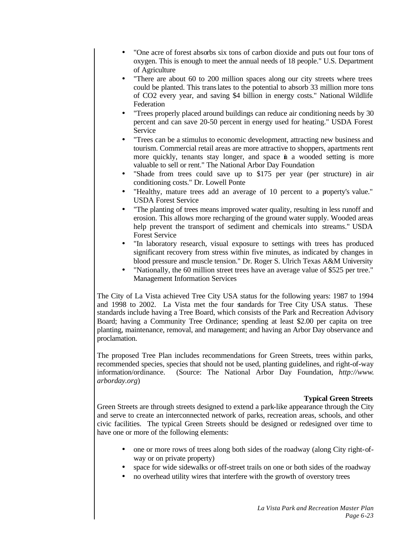- "One acre of forest absorbs six tons of carbon dioxide and puts out four tons of oxygen. This is enough to meet the annual needs of 18 people." U.S. Department of Agriculture
- "There are about 60 to 200 million spaces along our city streets where trees could be planted. This translates to the potential to absorb 33 million more tons of CO2 every year, and saving \$4 billion in energy costs." National Wildlife Federation
- "Trees properly placed around buildings can reduce air conditioning needs by 30 percent and can save 20-50 percent in energy used for heating." USDA Forest Service
- "Trees can be a stimulus to economic development, attracting new business and tourism. Commercial retail areas are more attractive to shoppers, apartments rent more quickly, tenants stay longer, and space in a wooded setting is more valuable to sell or rent." The National Arbor Day Foundation
- "Shade from trees could save up to \$175 per year (per structure) in air conditioning costs." Dr. Lowell Ponte
- "Healthy, mature trees add an average of 10 percent to a property's value." USDA Forest Service
- "The planting of trees means improved water quality, resulting in less runoff and erosion. This allows more recharging of the ground water supply. Wooded areas help prevent the transport of sediment and chemicals into streams." USDA Forest Service
- "In laboratory research, visual exposure to settings with trees has produced significant recovery from stress within five minutes, as indicated by changes in blood pressure and muscle tension." Dr. Roger S. Ulrich Texas A&M University
- "Nationally, the 60 million street trees have an average value of \$525 per tree." Management Information Services

The City of La Vista achieved Tree City USA status for the following years: 1987 to 1994 and 1998 to 2002. La Vista met the four standards for Tree City USA status. These standards include having a Tree Board, which consists of the Park and Recreation Advisory Board; having a Community Tree Ordinance; spending at least \$2.00 per capita on tree planting, maintenance, removal, and management; and having an Arbor Day observance and proclamation.

The proposed Tree Plan includes recommendations for Green Streets, trees within parks, recommended species, species that should not be used, planting guidelines, and right-of-way information/ordinance. (Source: The National Arbor Day Foundation, *http://www. arborday.org*)

#### **Typical Green Streets**

Green Streets are through streets designed to extend a park-like appearance through the City and serve to create an interconnected network of parks, recreation areas, schools, and other civic facilities. The typical Green Streets should be designed or redesigned over time to have one or more of the following elements:

- one or more rows of trees along both sides of the roadway (along City right-ofway or on private property)
- space for wide sidewalks or off-street trails on one or both sides of the roadway
- no overhead utility wires that interfere with the growth of overstory trees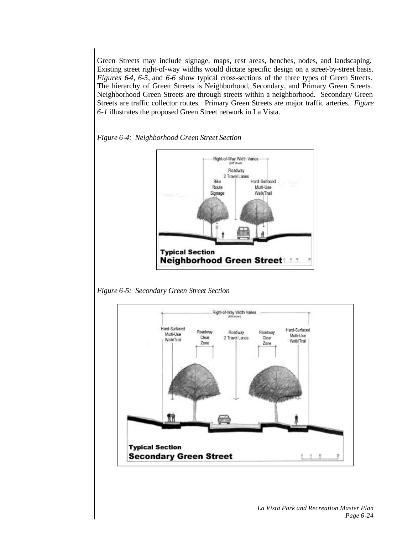Green Streets may include signage, maps, rest areas, benches, nodes, and landscaping. Existing street right-of-way widths would dictate specific design on a street-by-street basis. *Figures 64, 6-5, and 6-6* show typical cross-sections of the three types of Green Streets. The hierarchy of Green Streets is Neighborhood, Secondary, and Primary Green Streets. Neighborhood Green Streets are through streets within a neighborhood. Secondary Green Streets are traffic collector routes. Primary Green Streets are major traffic arteries. *Figure 6-1* illustrates the proposed Green Street network in La Vista.





*Figure 6-5: Secondary Green Street Section*

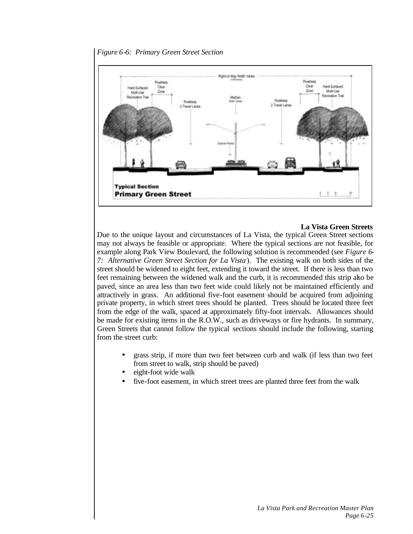



#### **La Vista Green Streets**

Due to the unique layout and circumstances of La Vista, the typical Green Street sections may not always be feasible or appropriate. Where the typical sections are not feasible, for example along Park View Boulevard, the following solution is recommended (see *Figure 6- 7: Alternative Green Street Section for La Vista* ). The existing walk on both sides of the street should be widened to eight feet, extending it toward the street. If there is less than two feet remaining between the widened walk and the curb, it is recommended this strip also be paved, since an area less than two feet wide could likely not be maintained efficiently and attractively in grass. An additional five-foot easement should be acquired from adjoining private property, in which street trees should be planted. Trees should be located three feet from the edge of the walk, spaced at approximately fifty-foot intervals. Allowances should be made for existing items in the R.O.W., such as driveways or fire hydrants. In summary, Green Streets that cannot follow the typical sections should include the following, starting from the street curb:

- grass strip, if more than two feet between curb and walk (if less than two feet from street to walk, strip should be paved)
- eight-foot wide walk
- five-foot easement, in which street trees are planted three feet from the walk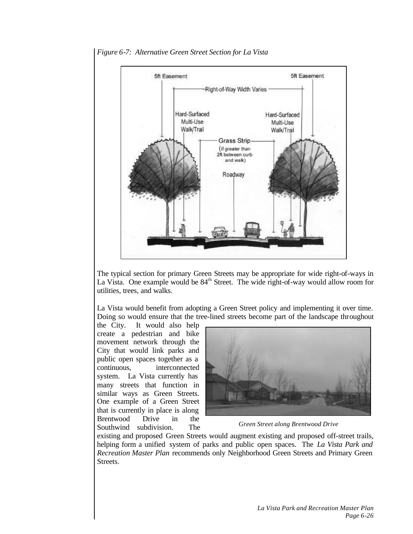

*Figure 6-7: Alternative Green Street Section for La Vista*

The typical section for primary Green Streets may be appropriate for wide right-of-ways in La Vista. One example would be 84<sup>th</sup> Street. The wide right-of-way would allow room for utilities, trees, and walks.

La Vista would benefit from adopting a Green Street policy and implementing it over time. Doing so would ensure that the tree-lined streets become part of the landscape throughout

the City. It would also help create a pedestrian and bike movement network through the City that would link parks and public open spaces together as a continuous, interconnected system. La Vista currently has many streets that function in similar ways as Green Streets. One example of a Green Street that is currently in place is along Brentwood Drive in the Southwind subdivision. The



*Green Street along Brentwood Drive*

existing and proposed Green Streets would augment existing and proposed off-street trails, helping form a unified system of parks and public open spaces. The *La Vista Park and Recreation Master Plan* recommends only Neighborhood Green Streets and Primary Green Streets.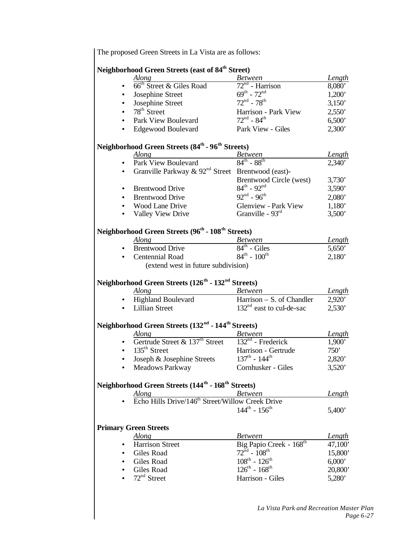The proposed Green Streets in La Vista are as follows: **Neighborhood Green Streets (east of 84th Street)** *Along Between Length*  $66<sup>th</sup> Street & Giles Road$  72<sup>nd</sup> - Han<br>Josephine Street 69<sup>th</sup> - 72<sup>nd</sup>  $72<sup>nd</sup>$  - Harrison 8,080' Josephine Street  $69^{\text{th}}$  -  $72^{\text{nd}}$ <br>Josephine Street  $72^{\text{nd}}$  -  $78^{\text{th}}$  $1,200'$ Josephine Street<br>78<sup>th</sup> Street  $3,150'$  $Harrison - Park View$  2,550'<br>  $72<sup>nd</sup> - 84<sup>th</sup>$  6.500' Park View Boulevard  $6,500'$ • Edgewood Boulevard Park View - Giles 2,300' **Neighborhood Green Streets (84th - 96th Streets)** *Along Between Length* Park View Boulevard  $84^{\text{th}}$  -  $88^{\text{th}}$  $2,340'$ Granville Parkway  $\&$  92<sup>nd</sup> Street Brentwood (east)-Brentwood Circle (west)  $3,730'$ <br> $84<sup>th</sup> - 92<sup>nd</sup>$   $3.590'$ Brentwood Drive  $84^{\text{th}}$  -  $92^{\text{nd}}$ <br>Brentwood Drive  $92^{\text{nd}}$  -  $96^{\text{th}}$  $3,590'$ **Brentwood Drive**  $2,080'$ Vood Lane Drive Glenview - Park View 1,180'<br>
Valley View Drive Granville - 93<sup>rd</sup> 3.500' Valley View Drive Granville -  $93<sup>rd</sup>$  3,500' **Neighborhood Green Streets (96th - 108th Streets)** *Along Between Length* **Brentwood Drive**  $84<sup>th</sup>$  - Giles 5,650' **Centennial Road**  $84^{\text{th}} - 100^{\text{th}}$  2.180' (extend west in future subdivision) **Neighborhood Green Streets (126th - 132nd Streets)** *Along Between Length* • Highland Boulevard Harrison – S. of Chandler 2,920' Lillian Street  $132<sup>nd</sup>$  east to cul-de-sac  $2.530'$ **Neighborhood Green Streets (132nd - 144 th Streets)** *Along Between Length* Gertrude Street &  $137<sup>th</sup>$  Street  $135<sup>th</sup>$  Street  $132<sup>nd</sup>$  - Frederick  $1,900'$ • 135th Street Harrison - Gertrude 750' Joseph & Josephine Streets  $137^{\text{th}} - 144^{\text{th}}$  2,820' • Meadows Parkway Cornhusker - Giles 3,520' **Neighborhood Green Streets (144th - 168th Streets)** *Along Between Length* Echo Hills Drive/146<sup>th</sup> Street/Willow Creek Drive  $144^{\text{th}} - 156^{\text{th}}$  5,400' **Primary Green Streets** *Along Between Length* Harrison Street Big Papio Creek - 168<sup>th</sup> 47,100<sup>'</sup> Giles Road  $72^{\text{nd}} - 108^{\text{th}}$  15,800' Giles Road  $108^{th} - 126^{th}$  6,000' Giles Road<br> $72<sup>nd</sup> Street$  $126^{th} - 168^{th}$  20,800' • 72nd Street Harrison - Giles 5,280'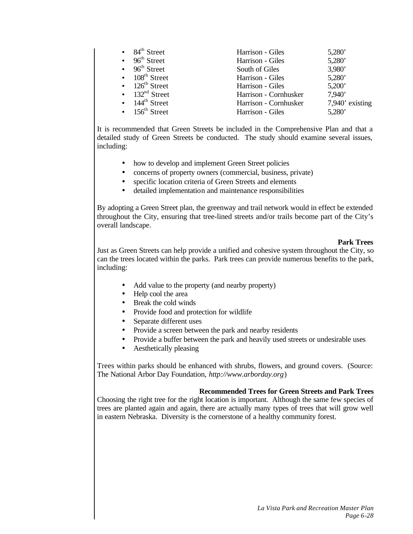| $\bullet$ 84 <sup>th</sup> Street  | Harrison - Giles      | 5,280'             |
|------------------------------------|-----------------------|--------------------|
| $\bullet$ 96 <sup>th</sup> Street  | Harrison - Giles      | 5,280'             |
| $\bullet$ 96 <sup>th</sup> Street  | South of Giles        | 3,980'             |
| $\bullet$ 108 <sup>th</sup> Street | Harrison - Giles      | 5,280'             |
| $\bullet$ 126 <sup>th</sup> Street | Harrison - Giles      | 5,200'             |
| • $132nd$ Street                   | Harrison - Cornhusker | 7.940'             |
| $\bullet$ 144 <sup>th</sup> Street | Harrison - Cornhusker | $7,940$ ' existing |
| $\bullet$ 156 <sup>th</sup> Street | Harrison - Giles      | 5,280'             |

It is recommended that Green Streets be included in the Comprehensive Plan and that a detailed study of Green Streets be conducted. The study should examine several issues, including:

- how to develop and implement Green Street policies
- concerns of property owners (commercial, business, private)
- specific location criteria of Green Streets and elements
- detailed implementation and maintenance responsibilities

By adopting a Green Street plan, the greenway and trail network would in effect be extended throughout the City, ensuring that tree-lined streets and/or trails become part of the City's overall landscape.

#### **Park Trees**

Just as Green Streets can help provide a unified and cohesive system throughout the City, so can the trees located within the parks. Park trees can provide numerous benefits to the park, including:

- Add value to the property (and nearby property)
- Help cool the area
- Break the cold winds
- Provide food and protection for wildlife
- Separate different uses
- Provide a screen between the park and nearby residents
- Provide a buffer between the park and heavily used streets or undesirable uses
- Aesthetically pleasing

Trees within parks should be enhanced with shrubs, flowers, and ground covers. (Source: The National Arbor Day Foundation, *http://www.arborday.org*)

#### **Recommended Trees for Green Streets and Park Trees**

Choosing the right tree for the right location is important. Although the same few species of trees are planted again and again, there are actually many types of trees that will grow well in eastern Nebraska. Diversity is the cornerstone of a healthy community forest.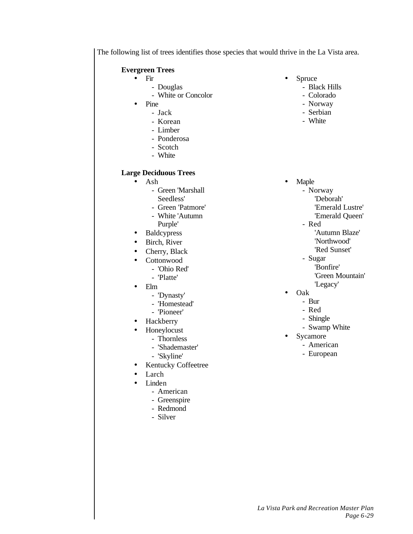The following list of trees identifies those species that would thrive in the La Vista area.

### **Evergreen Trees**

- Fir
	- Douglas
	- White or Concolor
- Pine
	- Jack
	- Korean
	- Limber
	- Ponderosa
	- Scotch
	- White

### **Large Deciduous Trees**

- Ash
	- Green 'Marshall Seedless'
	-
	- Green 'Patmore' - White 'Autumn
	- Purple'
- Baldcypress
- Birch, River
- Cherry, Black
- Cottonwood
	- 'Ohio Red'
	- 'Platte'
- Elm
	- 'Dynasty'
	- 'Homestead'
	- 'Pioneer'
- **Hackberry**
- Honeylocust
	- Thornless
	- 'Shademaster'
	- 'Skyline'
	- Kentucky Coffeetree
- Larch
- Linden
	- American
	- Greenspire
	- Redmond
	- Silver
- Spruce
	- Black Hills
	- Colorado
	- Norway
	- Serbian
	- White
- Maple
	- Norway
		- 'Deborah'
		- 'Emerald Lustre'
		- 'Emerald Queen'
	- Red
		- 'Autumn Blaze' 'Northwood'
		- 'Red Sunset'
	- Sugar
	- 'Bonfire'
		- 'Green Mountain'
		-
		- 'Legacy'
- Oak
	- Bur
	- Red
	- Shingle
	- Swamp White
- **Sycamore** 
	- American
	- European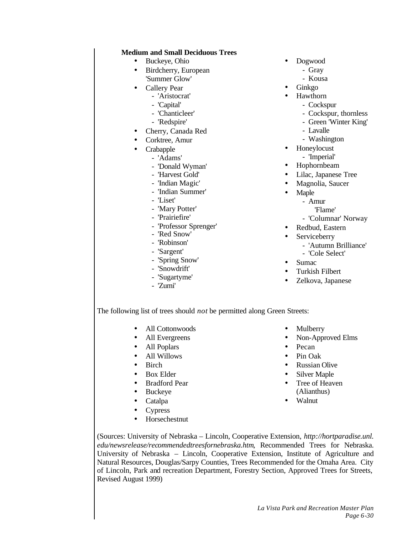#### **Medium and Small Deciduous Trees**

- Buckeye, Ohio
- Birdcherry, European 'Summer Glow'
- Callery Pear
	- 'Aristocrat'
	- 'Capital'
	- 'Chanticleer'
	- 'Redspire'
- Cherry, Canada Red
- Corktree, Amur
- **Crabapple** 
	- 'Adams'
	- 'Donald Wyman'
	- 'Harvest Gold'
	- 'Indian Magic'
	- 'Indian Summer'
	- 'Liset'
	- 'Mary Potter'
	- 'Prairiefire'
	- 'Professor Sprenger'
	- 'Red Snow'
	- 'Robinson'
	- 'Sargent'
	- 'Spring Snow'
	- 'Snowdrift'
	- 'Sugartyme'
	- 'Zumi'
- Dogwood
	- Gray
	- Kousa
- Ginkgo
- Hawthorn
	- Cockspur
	- Cockspur, thornless
	- Green 'Winter King'
	- Lavalle
	- Washington
- Honeylocust
	- 'Imperial'
- Hophornbeam
- Lilac, Japanese Tree
- Magnolia, Saucer
- Maple
	- Amur
	- 'Flame'
	- 'Columnar' Norway
- Redbud, Eastern
- Serviceberry
	- 'Autumn Brilliance'
	- 'Cole Select'
- Sumac
- Turkish Filbert
- Zelkova, Japanese

The following list of trees should *not* be permitted along Green Streets:

- All Cottonwoods
- All Evergreens
- All Poplars
- All Willows
- Birch
- Box Elder
- Bradford Pear
- Buckeye
- Catalpa
- Cypress
- Horsechestnut
- Mulberry
- Non-Approved Elms
- Pecan
- Pin Oak
- Russian Olive
- Silver Maple
- Tree of Heaven (Alianthus)
- Walnut

(Sources: University of Nebraska – Lincoln, Cooperative Extension, *http://hortparadise.unl. edu/newsrelease/recommendedtreesfornebraska.htm*, Recommended Trees for Nebraska. University of Nebraska – Lincoln, Cooperative Extension, Institute of Agriculture and Natural Resources, Douglas/Sarpy Counties, Trees Recommended for the Omaha Area. City of Lincoln, Park and recreation Department, Forestry Section, Approved Trees for Streets, Revised August 1999)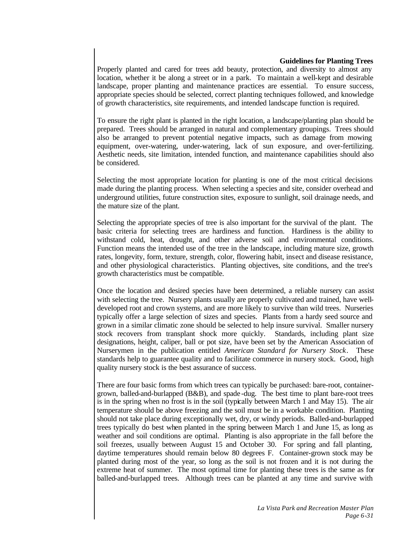#### **Guidelines for Planting Trees**

Properly planted and cared for trees add beauty, protection, and diversity to almost any location, whether it be along a street or in a park. To maintain a well-kept and desirable landscape, proper planting and maintenance practices are essential. To ensure success, appropriate species should be selected, correct planting techniques followed, and knowledge of growth characteristics, site requirements, and intended landscape function is required.

To ensure the right plant is planted in the right location, a landscape/planting plan should be prepared. Trees should be arranged in natural and complementary groupings. Trees should also be arranged to prevent potential negative impacts, such as damage from mowing equipment, over-watering, under-watering, lack of sun exposure, and over-fertilizing. Aesthetic needs, site limitation, intended function, and maintenance capabilities should also be considered.

Selecting the most appropriate location for planting is one of the most critical decisions made during the planting process. When selecting a species and site, consider overhead and underground utilities, future construction sites, exposure to sunlight, soil drainage needs, and the mature size of the plant.

Selecting the appropriate species of tree is also important for the survival of the plant. The basic criteria for selecting trees are hardiness and function. Hardiness is the ability to withstand cold, heat, drought, and other adverse soil and environmental conditions. Function means the intended use of the tree in the landscape, including mature size, growth rates, longevity, form, texture, strength, color, flowering habit, insect and disease resistance, and other physiological characteristics. Planting objectives, site conditions, and the tree's growth characteristics must be compatible.

Once the location and desired species have been determined, a reliable nursery can assist with selecting the tree. Nursery plants usually are properly cultivated and trained, have welldeveloped root and crown systems, and are more likely to survive than wild trees. Nurseries typically offer a large selection of sizes and species. Plants from a hardy seed source and grown in a similar climatic zone should be selected to help insure survival. Smaller nursery stock recovers from transplant shock more quickly. Standards, including plant size designations, height, caliper, ball or pot size, have been set by the American Association of Nurserymen in the publication entitled *American Standard for Nursery Stock*. These standards help to guarantee quality and to facilitate commerce in nursery stock. Good, high quality nursery stock is the best assurance of success.

There are four basic forms from which trees can typically be purchased: bare-root, containergrown, balled-and-burlapped (B&B), and spade -dug. The best time to plant bare-root trees is in the spring when no frost is in the soil (typically between March 1 and May 15). The air temperature should be above freezing and the soil must be in a workable condition. Planting should not take place during exceptionally wet, dry, or windy periods. Balled-and-burlapped trees typically do best when planted in the spring between March 1 and June 15, as long as weather and soil conditions are optimal. Planting is also appropriate in the fall before the soil freezes, usually between August 15 and October 30. For spring and fall planting, daytime temperatures should remain below 80 degrees F. Container-grown stock may be planted during most of the year, so long as the soil is not frozen and it is not during the extreme heat of summer. The most optimal time for planting these trees is the same as for balled-and-burlapped trees. Although trees can be planted at any time and survive with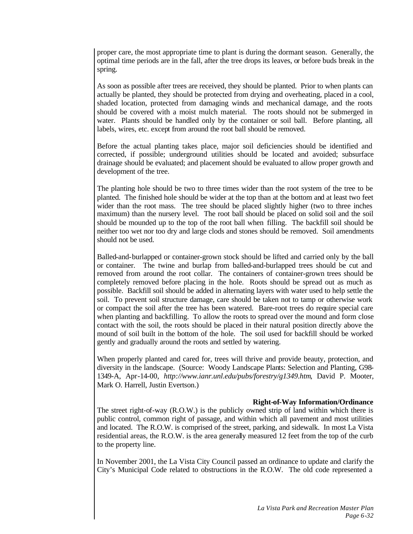proper care, the most appropriate time to plant is during the dormant season. Generally, the optimal time periods are in the fall, after the tree drops its leaves, or before buds break in the spring.

As soon as possible after trees are received, they should be planted. Prior to when plants can actually be planted, they should be protected from drying and overheating, placed in a cool, shaded location, protected from damaging winds and mechanical damage, and the roots should be covered with a moist mulch material. The roots should not be submerged in water. Plants should be handled only by the container or soil ball. Before planting, all labels, wires, etc. except from around the root ball should be removed.

Before the actual planting takes place, major soil deficiencies should be identified and corrected, if possible; underground utilities should be located and avoided; subsurface drainage should be evaluated; and placement should be evaluated to allow proper growth and development of the tree.

The planting hole should be two to three times wider than the root system of the tree to be planted. The finished hole should be wider at the top than at the bottom and at least two feet wider than the root mass. The tree should be placed slightly higher (two to three inches maximum) than the nursery level. The root ball should be placed on solid soil and the soil should be mounded up to the top of the root ball when filling. The backfill soil should be neither too wet nor too dry and large clods and stones should be removed. Soil amendments should not be used.

Balled-and-burlapped or container-grown stock should be lifted and carried only by the ball or container. The twine and burlap from balled-and-burlapped trees should be cut and removed from around the root collar. The containers of container-grown trees should be completely removed before placing in the hole. Roots should be spread out as much as possible. Backfill soil should be added in alternating layers with water used to help settle the soil. To prevent soil structure damage, care should be taken not to tamp or otherwise work or compact the soil after the tree has been watered. Bare-root trees do require special care when planting and backfilling. To allow the roots to spread over the mound and form close contact with the soil, the roots should be placed in their natural position directly above the mound of soil built in the bottom of the hole. The soil used for backfill should be worked gently and gradually around the roots and settled by watering.

When properly planted and cared for, trees will thrive and provide beauty, protection, and diversity in the landscape. (Source: Woody Landscape Plants: Selection and Planting, G98- 1349-A, Apr-14-00, *http://www.ianr.unl.edu/pubs/forestry/g1349.htm*, David P. Mooter, Mark O. Harrell, Justin Evertson.)

#### **Right-of-Way Information/Ordinance**

The street right-of-way (R.O.W.) is the publicly owned strip of land within which there is public control, common right of passage, and within which all pavement and most utilities and located. The R.O.W. is comprised of the street, parking, and sidewalk. In most La Vista residential areas, the R.O.W. is the area generally measured 12 feet from the top of the curb to the property line.

In November 2001, the La Vista City Council passed an ordinance to update and clarify the City's Municipal Code related to obstructions in the R.O.W. The old code represented a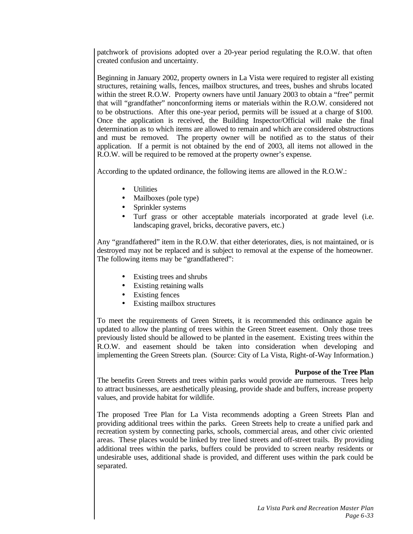patchwork of provisions adopted over a 20-year period regulating the R.O.W. that often created confusion and uncertainty.

Beginning in January 2002, property owners in La Vista were required to register all existing structures, retaining walls, fences, mailbox structures, and trees, bushes and shrubs located within the street R.O.W. Property owners have until January 2003 to obtain a "free" permit that will "grandfather" nonconforming items or materials within the R.O.W. considered not to be obstructions. After this one-year period, permits will be issued at a charge of \$100. Once the application is received, the Building Inspector/Official will make the final determination as to which items are allowed to remain and which are considered obstructions and must be removed. The property owner will be notified as to the status of their application. If a permit is not obtained by the end of 2003, all items not allowed in the R.O.W. will be required to be removed at the property owner's expense.

According to the updated ordinance, the following items are allowed in the R.O.W.:

- Utilities
- Mailboxes (pole type)
- Sprinkler systems
- Turf grass or other acceptable materials incorporated at grade level (i.e. landscaping gravel, bricks, decorative pavers, etc.)

Any "grandfathered" item in the R.O.W. that either deteriorates, dies, is not maintained, or is destroyed may not be replaced and is subject to removal at the expense of the homeowner. The following items may be "grandfathered":

- Existing trees and shrubs
- Existing retaining walls
- Existing fences
- Existing mailbox structures

To meet the requirements of Green Streets, it is recommended this ordinance again be updated to allow the planting of trees within the Green Street easement. Only those trees previously listed should be allowed to be planted in the easement. Existing trees within the R.O.W. and easement should be taken into consideration when developing and implementing the Green Streets plan. (Source: City of La Vista, Right-of-Way Information.)

#### **Purpose of the Tree Plan**

The benefits Green Streets and trees within parks would provide are numerous. Trees help to attract businesses, are aesthetically pleasing, provide shade and buffers, increase property values, and provide habitat for wildlife.

The proposed Tree Plan for La Vista recommends adopting a Green Streets Plan and providing additional trees within the parks. Green Streets help to create a unified park and recreation system by connecting parks, schools, commercial areas, and other civic oriented areas. These places would be linked by tree lined streets and off-street trails. By providing additional trees within the parks, buffers could be provided to screen nearby residents or undesirable uses, additional shade is provided, and different uses within the park could be separated.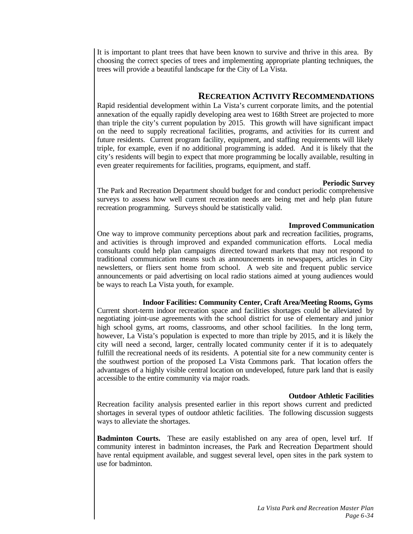It is important to plant trees that have been known to survive and thrive in this area. By choosing the correct species of trees and implementing appropriate planting techniques, the trees will provide a beautiful landscape for the City of La Vista.

## **RECREATION ACTIVITY RECOMMENDATIONS**

Rapid residential development within La Vista's current corporate limits, and the potential annexation of the equally rapidly developing area west to 168th Street are projected to more than triple the city's current population by 2015. This growth will have significant impact on the need to supply recreational facilities, programs, and activities for its current and future residents. Current program facility, equipment, and staffing requirements will likely triple, for example, even if no additional programming is added. And it is likely that the city's residents will begin to expect that more programming be locally available, resulting in even greater requirements for facilities, programs, equipment, and staff.

### **Periodic Survey**

The Park and Recreation Department should budget for and conduct periodic comprehensive surveys to assess how well current recreation needs are being met and help plan future recreation programming. Surveys should be statistically valid.

#### **Improved Communication**

One way to improve community perceptions about park and recreation facilities, programs, and activities is through improved and expanded communication efforts. Local media consultants could help plan campaigns directed toward markets that may not respond to traditional communication means such as announcements in newspapers, articles in City newsletters, or fliers sent home from school. A web site and frequent public service announcements or paid advertising on local radio stations aimed at young audiences would be ways to reach La Vista youth, for example.

## **Indoor Facilities: Community Center, Craft Area/Meeting Rooms, Gyms**

Current short-term indoor recreation space and facilities shortages could be alleviated by negotiating joint-use agreements with the school district for use of elementary and junior high school gyms, art rooms, classrooms, and other school facilities. In the long term, however, La Vista's population is expected to more than triple by 2015, and it is likely the city will need a second, larger, centrally located community center if it is to adequately fulfill the recreational needs of its residents. A potential site for a new community center is the southwest portion of the proposed La Vista Commons park. That location offers the advantages of a highly visible central location on undeveloped, future park land that is easily accessible to the entire community via major roads.

## **Outdoor Athletic Facilities**

Recreation facility analysis presented earlier in this report shows current and predicted shortages in several types of outdoor athletic facilities. The following discussion suggests ways to alleviate the shortages.

**Badminton Courts.** These are easily established on any area of open, level turf. If community interest in badminton increases, the Park and Recreation Department should have rental equipment available, and suggest several level, open sites in the park system to use for badminton.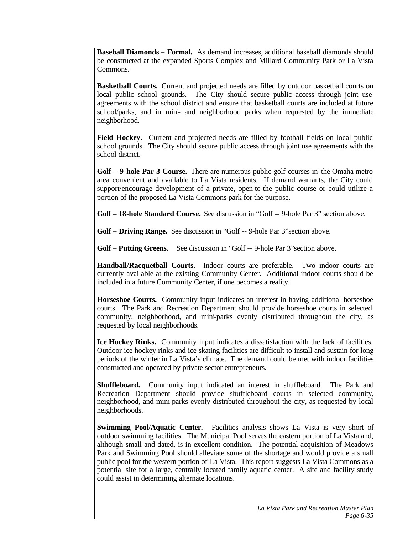**Baseball Diamonds – Formal.** As demand increases, additional baseball diamonds should be constructed at the expanded Sports Complex and Millard Community Park or La Vista Commons.

**Basketball Courts.** Current and projected needs are filled by outdoor basketball courts on local public school grounds. The City should secure public access through joint use agreements with the school district and ensure that basketball courts are included at future school/parks, and in mini- and neighborhood parks when requested by the immediate neighborhood.

**Field Hockey.** Current and projected needs are filled by football fields on local public school grounds. The City should secure public access through joint use agreements with the school district.

**Golf – 9-hole Par 3 Course.** There are numerous public golf courses in the Omaha metro area convenient and available to La Vista residents. If demand warrants, the City could support/encourage development of a private, open-to-the-public course or could utilize a portion of the proposed La Vista Commons park for the purpose.

**Golf – 18-hole Standard Course.** See discussion in "Golf -- 9-hole Par 3" section above.

**Golf – Driving Range.** See discussion in "Golf -- 9-hole Par 3"section above.

**Golf – Putting Greens.** See discussion in "Golf -- 9-hole Par 3"section above.

**Handball/Racquetball Courts.** Indoor courts are preferable. Two indoor courts are currently available at the existing Community Center. Additional indoor courts should be included in a future Community Center, if one becomes a reality.

**Horseshoe Courts.** Community input indicates an interest in having additional horseshoe courts. The Park and Recreation Department should provide horseshoe courts in selected community, neighborhood, and mini-parks evenly distributed throughout the city, as requested by local neighborhoods.

**Ice Hockey Rinks.** Community input indicates a dissatisfaction with the lack of facilities. Outdoor ice hockey rinks and ice skating facilities are difficult to install and sustain for long periods of the winter in La Vista's climate. The demand could be met with indoor facilities constructed and operated by private sector entrepreneurs.

**Shuffleboard.** Community input indicated an interest in shuffleboard. The Park and Recreation Department should provide shuffleboard courts in selected community, neighborhood, and mini-parks evenly distributed throughout the city, as requested by local neighborhoods.

**Swimming Pool/Aquatic Center.** Facilities analysis shows La Vista is very short of outdoor swimming facilities. The Municipal Pool serves the eastern portion of La Vista and, although small and dated, is in excellent condition. The potential acquisition of Meadows Park and Swimming Pool should alleviate some of the shortage and would provide a small public pool for the western portion of La Vista. This report suggests La Vista Commons as a potential site for a large, centrally located family aquatic center. A site and facility study could assist in determining alternate locations.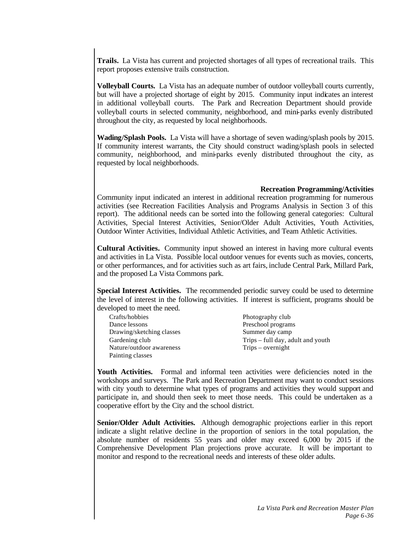**Trails.** La Vista has current and projected shortages of all types of recreational trails. This report proposes extensive trails construction.

**Volleyball Courts.** La Vista has an adequate number of outdoor volleyball courts currently, but will have a projected shortage of eight by 2015. Community input indicates an interest in additional volleyball courts. The Park and Recreation Department should provide volleyball courts in selected community, neighborhood, and mini-parks evenly distributed throughout the city, as requested by local neighborhoods.

**Wading/Splash Pools.** La Vista will have a shortage of seven wading/splash pools by 2015. If community interest warrants, the City should construct wading/splash pools in selected community, neighborhood, and mini-parks evenly distributed throughout the city, as requested by local neighborhoods.

#### **Recreation Programming/Activities**

Community input indicated an interest in additional recreation programming for numerous activities (see Recreation Facilities Analysis and Programs Analysis in Section 3 of this report). The additional needs can be sorted into the following general categories: Cultural Activities, Special Interest Activities, Senior/Older Adult Activities, Youth Activities, Outdoor Winter Activities, Individual Athletic Activities, and Team Athletic Activities.

**Cultural Activities.** Community input showed an interest in having more cultural events and activities in La Vista. Possible local outdoor venues for events such as movies, concerts, or other performances, and for activities such as art fairs, include Central Park, Millard Park, and the proposed La Vista Commons park.

**Special Interest Activities.** The recommended periodic survey could be used to determine the level of interest in the following activities. If interest is sufficient, programs should be developed to meet the need.

| Crafts/hobbies            | Photography club                  |
|---------------------------|-----------------------------------|
| Dance lessons             | Preschool programs                |
| Drawing/sketching classes | Summer day camp                   |
| Gardening club            | Trips – full day, adult and youth |
| Nature/outdoor awareness  | $Trips - overnight$               |
| Painting classes          |                                   |

**Youth Activities.** Formal and informal teen activities were deficiencies noted in the workshops and surveys. The Park and Recreation Department may want to conduct sessions with city youth to determine what types of programs and activities they would support and participate in, and should then seek to meet those needs. This could be undertaken as a cooperative effort by the City and the school district.

**Senior/Older Adult Activities.** Although demographic projections earlier in this report indicate a slight relative decline in the proportion of seniors in the total population, the absolute number of residents 55 years and older may exceed 6,000 by 2015 if the Comprehensive Development Plan projections prove accurate. It will be important to monitor and respond to the recreational needs and interests of these older adults.